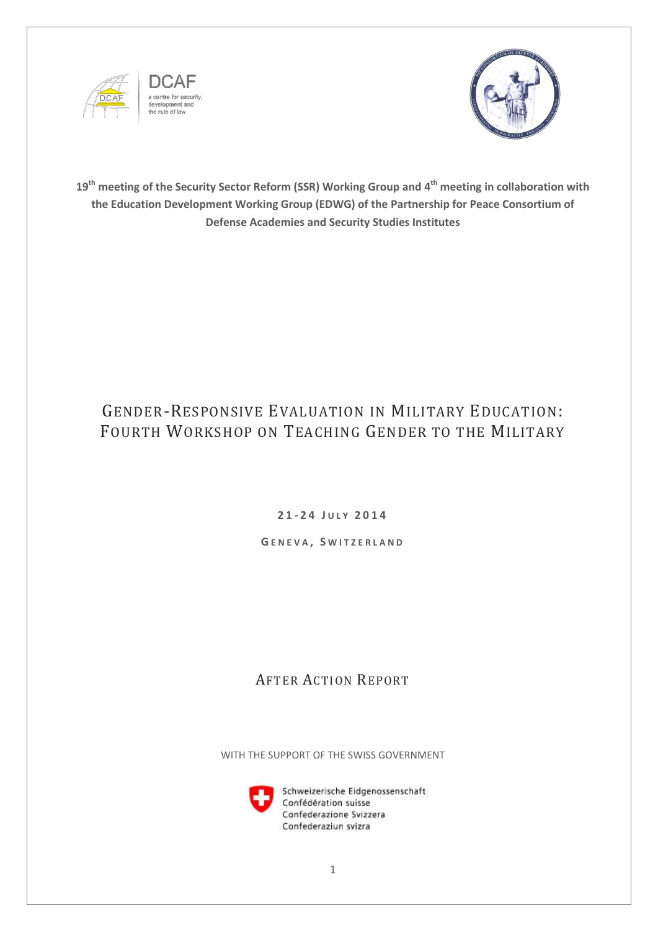





**19th meeting of the Security Sector Reform (SSR) Working Group and 4 th meeting in collaboration with the Education Development Working Group (EDWG) of the Partnership for Peace Consortium of Defense Academies and Security Studies Institutes**

# GENDER-RESPONSIVE EVALUATION IN MILITARY EDUCATION: FOURTH WORKSHOP ON TEACHING GENDER TO THE MILITARY

**2 1 - 2 4 J U L Y 2 0 1 4**

**G E N E V A , S W I T Z E R L A N D**

## AFTER ACTION REPORT

WITH THE SUPPORT OF THE SWISS GOVERNMENT



Schweizerische Eidgenossenschaft Confédération suisse Confederazione Svizzera Confederaziun svizra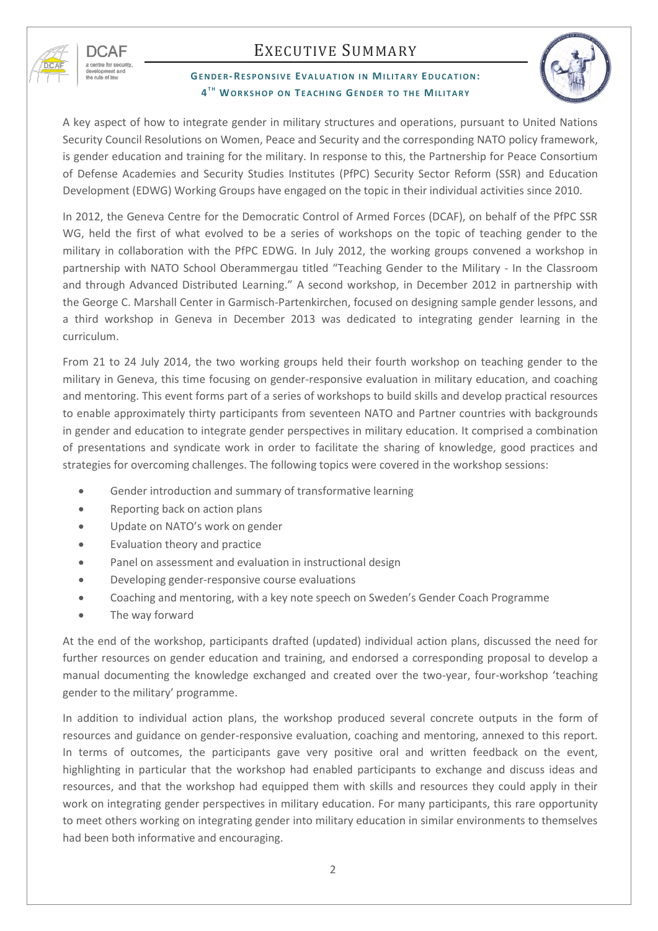

nopment<br>rule of lav

# EXECUTIVE SUMMARY

### **GENDER-RESPONSIVE EVALUATION IN MILITARY EDUCATION:**  $4^{th}$  WORKSHOP ON TEACHING GENDER TO THE MILITARY



A key aspect of how to integrate gender in military structures and operations, pursuant to United Nations Security Council Resolutions on Women, Peace and Security and the corresponding NATO policy framework, is gender education and training for the military. In response to this, the Partnership for Peace Consortium of Defense Academies and Security Studies Institutes (PfPC) Security Sector Reform (SSR) and Education Development (EDWG) Working Groups have engaged on the topic in their individual activities since 2010.

In 2012, the Geneva Centre for the Democratic Control of Armed Forces (DCAF), on behalf of the PfPC SSR WG, held the first of what evolved to be a series of workshops on the topic of teaching gender to the military in collaboration with the PfPC EDWG. In July 2012, the working groups convened a workshop in partnership with NATO School Oberammergau titled "Teaching Gender to the Military - In the Classroom and through Advanced Distributed Learning." A second workshop, in December 2012 in partnership with the George C. Marshall Center in Garmisch-Partenkirchen, focused on designing sample gender lessons, and a third workshop in Geneva in December 2013 was dedicated to integrating gender learning in the curriculum.

From 21 to 24 July 2014, the two working groups held their fourth workshop on teaching gender to the military in Geneva, this time focusing on gender-responsive evaluation in military education, and coaching and mentoring. This event forms part of a series of workshops to build skills and develop practical resources to enable approximately thirty participants from seventeen NATO and Partner countries with backgrounds in gender and education to integrate gender perspectives in military education. It comprised a combination of presentations and syndicate work in order to facilitate the sharing of knowledge, good practices and strategies for overcoming challenges. The following topics were covered in the workshop sessions:

- Gender introduction and summary of transformative learning
- Reporting back on action plans
- Update on NATO's work on gender
- Evaluation theory and practice
- Panel on assessment and evaluation in instructional design
- Developing gender-responsive course evaluations
- Coaching and mentoring, with a key note speech on Sweden's Gender Coach Programme
- The way forward

At the end of the workshop, participants drafted (updated) individual action plans, discussed the need for further resources on gender education and training, and endorsed a corresponding proposal to develop a manual documenting the knowledge exchanged and created over the two-year, four-workshop 'teaching gender to the military' programme.

In addition to individual action plans, the workshop produced several concrete outputs in the form of resources and guidance on gender-responsive evaluation, coaching and mentoring, annexed to this report. In terms of outcomes, the participants gave very positive oral and written feedback on the event, highlighting in particular that the workshop had enabled participants to exchange and discuss ideas and resources, and that the workshop had equipped them with skills and resources they could apply in their work on integrating gender perspectives in military education. For many participants, this rare opportunity to meet others working on integrating gender into military education in similar environments to themselves had been both informative and encouraging.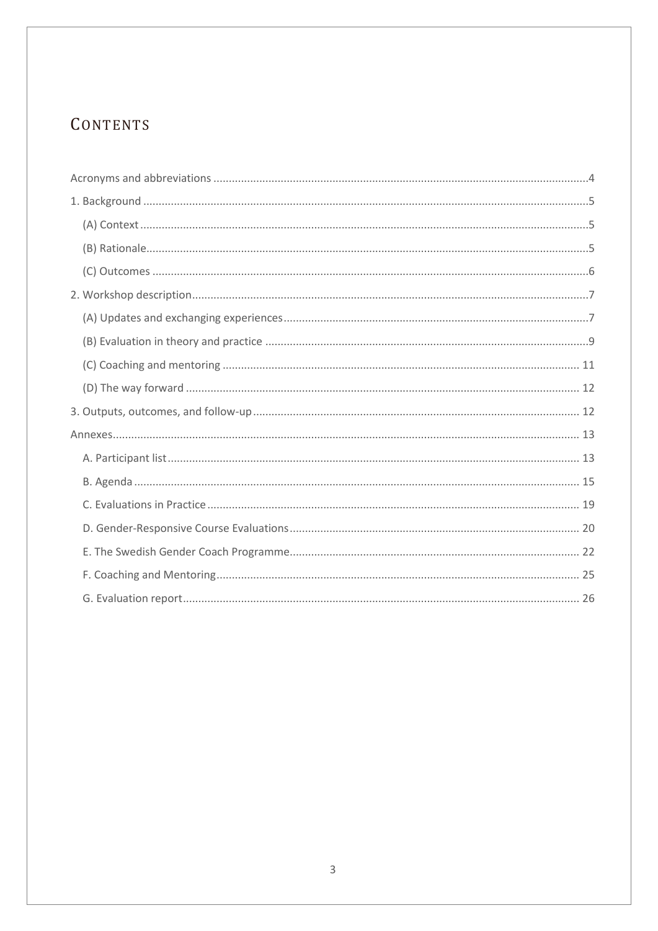# CONTENTS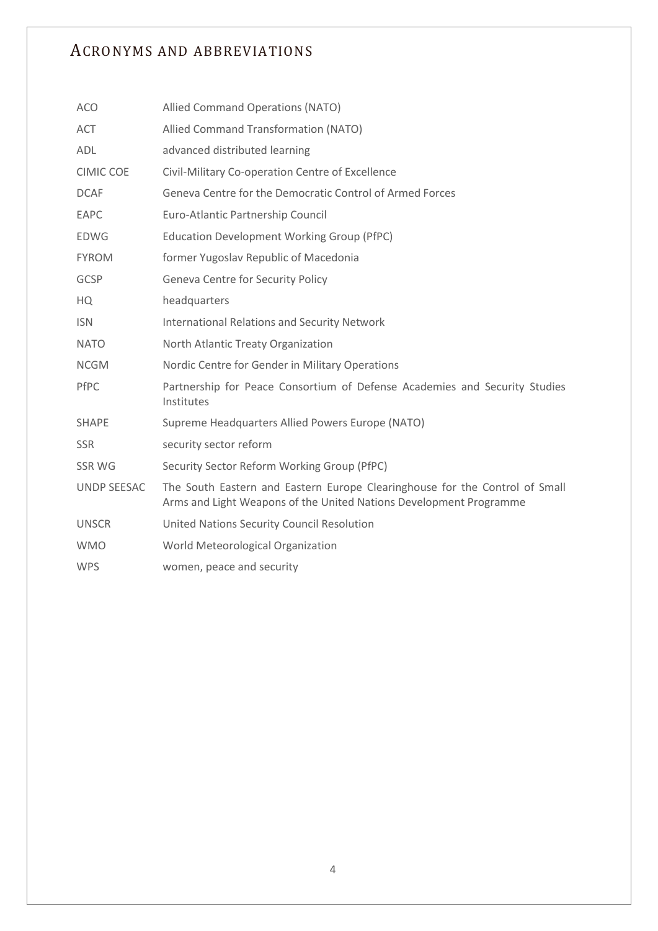## <span id="page-3-0"></span>ACRONYMS AND ABBREVIATIONS

| <b>ACO</b>         | Allied Command Operations (NATO)                                                                                                                  |
|--------------------|---------------------------------------------------------------------------------------------------------------------------------------------------|
| <b>ACT</b>         | Allied Command Transformation (NATO)                                                                                                              |
| <b>ADL</b>         | advanced distributed learning                                                                                                                     |
| <b>CIMIC COE</b>   | Civil-Military Co-operation Centre of Excellence                                                                                                  |
| <b>DCAF</b>        | Geneva Centre for the Democratic Control of Armed Forces                                                                                          |
| EAPC               | Euro-Atlantic Partnership Council                                                                                                                 |
| <b>EDWG</b>        | <b>Education Development Working Group (PfPC)</b>                                                                                                 |
| <b>FYROM</b>       | former Yugoslav Republic of Macedonia                                                                                                             |
| <b>GCSP</b>        | Geneva Centre for Security Policy                                                                                                                 |
| HQ                 | headquarters                                                                                                                                      |
| <b>ISN</b>         | <b>International Relations and Security Network</b>                                                                                               |
| <b>NATO</b>        | North Atlantic Treaty Organization                                                                                                                |
| <b>NCGM</b>        | Nordic Centre for Gender in Military Operations                                                                                                   |
| PfPC               | Partnership for Peace Consortium of Defense Academies and Security Studies<br>Institutes                                                          |
| <b>SHAPE</b>       | Supreme Headquarters Allied Powers Europe (NATO)                                                                                                  |
| <b>SSR</b>         | security sector reform                                                                                                                            |
| SSR WG             | Security Sector Reform Working Group (PfPC)                                                                                                       |
| <b>UNDP SEESAC</b> | The South Eastern and Eastern Europe Clearinghouse for the Control of Small<br>Arms and Light Weapons of the United Nations Development Programme |
| <b>UNSCR</b>       | United Nations Security Council Resolution                                                                                                        |
| <b>WMO</b>         | World Meteorological Organization                                                                                                                 |
| <b>WPS</b>         | women, peace and security                                                                                                                         |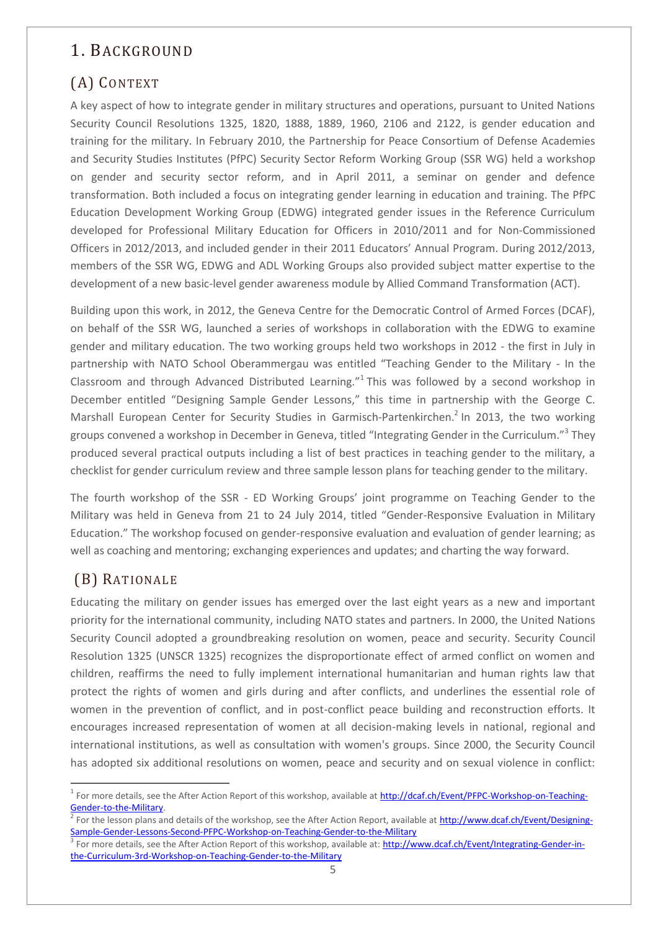## <span id="page-4-0"></span>1. BACKGROUND

# <span id="page-4-1"></span>(A) CONTEXT

A key aspect of how to integrate gender in military structures and operations, pursuant to United Nations Security Council Resolutions 1325, 1820, 1888, 1889, 1960, 2106 and 2122, is gender education and training for the military. In February 2010, the Partnership for Peace Consortium of Defense Academies and Security Studies Institutes (PfPC) Security Sector Reform Working Group (SSR WG) held a workshop on gender and security sector reform, and in April 2011, a seminar on gender and defence transformation. Both included a focus on integrating gender learning in education and training. The PfPC Education Development Working Group (EDWG) integrated gender issues in the Reference Curriculum developed for Professional Military Education for Officers in 2010/2011 and for Non-Commissioned Officers in 2012/2013, and included gender in their 2011 Educators' Annual Program. During 2012/2013, members of the SSR WG, EDWG and ADL Working Groups also provided subject matter expertise to the development of a new basic-level gender awareness module by Allied Command Transformation (ACT).

Building upon this work, in 2012, the Geneva Centre for the Democratic Control of Armed Forces (DCAF), on behalf of the SSR WG, launched a series of workshops in collaboration with the EDWG to examine gender and military education. The two working groups held two workshops in 2012 - the first in July in partnership with NATO School Oberammergau was entitled "Teaching Gender to the Military - In the Classroom and through Advanced Distributed Learning."<sup>1</sup> This was followed by a second workshop in December entitled "Designing Sample Gender Lessons," this time in partnership with the George C. Marshall European Center for Security Studies in Garmisch-Partenkirchen.<sup>2</sup> In 2013, the two working groups convened a workshop in December in Geneva, titled "Integrating Gender in the Curriculum."<sup>3</sup> They produced several practical outputs including a list of best practices in teaching gender to the military, a checklist for gender curriculum review and three sample lesson plans for teaching gender to the military.

The fourth workshop of the SSR - ED Working Groups' joint programme on Teaching Gender to the Military was held in Geneva from 21 to 24 July 2014, titled "Gender-Responsive Evaluation in Military Education." The workshop focused on gender-responsive evaluation and evaluation of gender learning; as well as coaching and mentoring; exchanging experiences and updates; and charting the way forward.

## <span id="page-4-2"></span>(B) RATIONALE

 $\overline{a}$ 

Educating the military on gender issues has emerged over the last eight years as a new and important priority for the international community, including NATO states and partners. In 2000, the United Nations Security Council adopted a groundbreaking resolution on women, peace and security. Security Council Resolution 1325 (UNSCR 1325) recognizes the disproportionate effect of armed conflict on women and children, reaffirms the need to fully implement international humanitarian and human rights law that protect the rights of women and girls during and after conflicts, and underlines the essential role of women in the prevention of conflict, and in post-conflict peace building and reconstruction efforts. It encourages increased representation of women at all decision-making levels in national, regional and international institutions, as well as consultation with women's groups. Since 2000, the Security Council has adopted six additional resolutions on women, peace and security and on sexual violence in conflict:

<sup>&</sup>lt;sup>1</sup> For more details, see the After Action Report of this workshop, available at [http://dcaf.ch/Event/PFPC-Workshop-on-Teaching-](http://dcaf.ch/Event/PFPC-Workshop-on-Teaching-Gender-to-the-Military)[Gender-to-the-Military.](http://dcaf.ch/Event/PFPC-Workshop-on-Teaching-Gender-to-the-Military)

<sup>&</sup>lt;sup>2</sup> For the lesson plans and details of the workshop, see the After Action Report, available at [http://www.dcaf.ch/Event/Designing-](http://www.dcaf.ch/Event/Designing-Sample-Gender-Lessons-Second-PFPC-Workshop-on-Teaching-Gender-to-the-Military)[Sample-Gender-Lessons-Second-PFPC-Workshop-on-Teaching-Gender-to-the-Military](http://www.dcaf.ch/Event/Designing-Sample-Gender-Lessons-Second-PFPC-Workshop-on-Teaching-Gender-to-the-Military)

<sup>&</sup>lt;sup>3</sup> For more details, see the After Action Report of this workshop, available at[: http://www.dcaf.ch/Event/Integrating-Gender-in](http://www.dcaf.ch/Event/Integrating-Gender-in-the-Curriculum-3rd-Workshop-on-Teaching-Gender-to-the-Military)[the-Curriculum-3rd-Workshop-on-Teaching-Gender-to-the-Military](http://www.dcaf.ch/Event/Integrating-Gender-in-the-Curriculum-3rd-Workshop-on-Teaching-Gender-to-the-Military)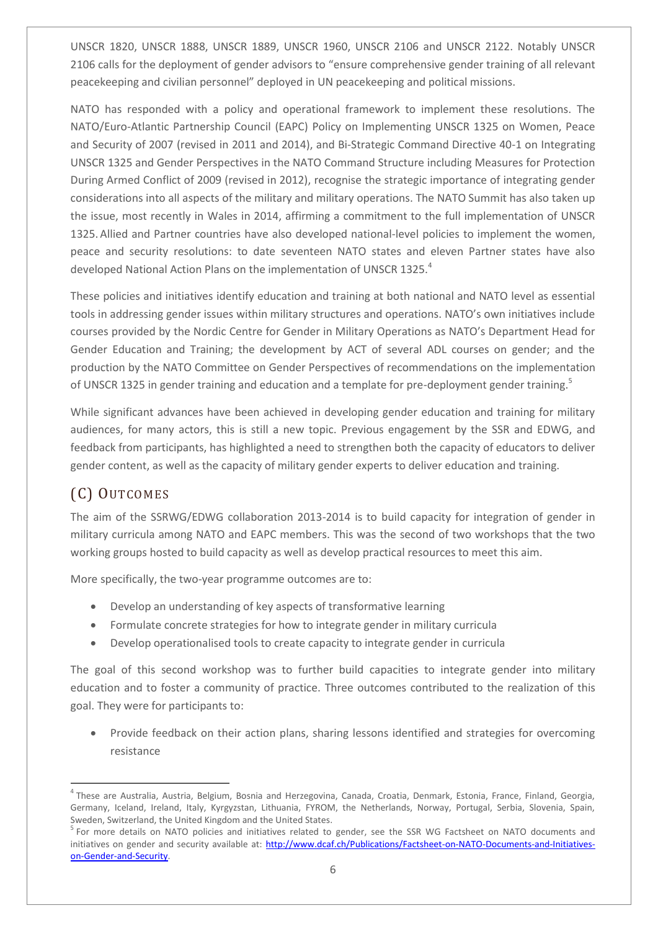UNSCR 1820, UNSCR 1888, UNSCR 1889, UNSCR 1960, UNSCR 2106 and UNSCR 2122. Notably UNSCR 2106 calls for the deployment of gender advisors to "ensure comprehensive gender training of all relevant peacekeeping and civilian personnel" deployed in UN peacekeeping and political missions.

NATO has responded with a policy and operational framework to implement these resolutions. The NATO/Euro-Atlantic Partnership Council (EAPC) Policy on Implementing UNSCR 1325 on Women, Peace and Security of 2007 (revised in 2011 and 2014), and Bi-Strategic Command Directive 40-1 on Integrating UNSCR 1325 and Gender Perspectives in the NATO Command Structure including Measures for Protection During Armed Conflict of 2009 (revised in 2012), recognise the strategic importance of integrating gender considerations into all aspects of the military and military operations. The NATO Summit has also taken up the issue, most recently in Wales in 2014, affirming a commitment to the full implementation of UNSCR 1325.Allied and Partner countries have also developed national-level policies to implement the women, peace and security resolutions: to date seventeen NATO states and eleven Partner states have also developed National Action Plans on the implementation of UNSCR 1325.<sup>4</sup>

These policies and initiatives identify education and training at both national and NATO level as essential tools in addressing gender issues within military structures and operations. NATO's own initiatives include courses provided by the Nordic Centre for Gender in Military Operations as NATO's Department Head for Gender Education and Training; the development by ACT of several ADL courses on gender; and the production by the NATO Committee on Gender Perspectives of recommendations on the implementation of UNSCR 1325 in gender training and education and a template for pre-deployment gender training.<sup>5</sup>

While significant advances have been achieved in developing gender education and training for military audiences, for many actors, this is still a new topic. Previous engagement by the SSR and EDWG, and feedback from participants, has highlighted a need to strengthen both the capacity of educators to deliver gender content, as well as the capacity of military gender experts to deliver education and training.

## <span id="page-5-0"></span>(C) OUTCOMES

 $\overline{a}$ 

The aim of the SSRWG/EDWG collaboration 2013-2014 is to build capacity for integration of gender in military curricula among NATO and EAPC members. This was the second of two workshops that the two working groups hosted to build capacity as well as develop practical resources to meet this aim.

More specifically, the two-year programme outcomes are to:

- Develop an understanding of key aspects of transformative learning
- Formulate concrete strategies for how to integrate gender in military curricula
- Develop operationalised tools to create capacity to integrate gender in curricula

The goal of this second workshop was to further build capacities to integrate gender into military education and to foster a community of practice. Three outcomes contributed to the realization of this goal. They were for participants to:

 Provide feedback on their action plans, sharing lessons identified and strategies for overcoming resistance

<sup>&</sup>lt;sup>4</sup> These are Australia, Austria, Belgium, Bosnia and Herzegovina, Canada, Croatia, Denmark, Estonia, France, Finland, Georgia, Germany, Iceland, Ireland, Italy, Kyrgyzstan, Lithuania, FYROM, the Netherlands, Norway, Portugal, Serbia, Slovenia, Spain, Sweden, Switzerland, the United Kingdom and the United States.

<sup>&</sup>lt;sup>5</sup> For more details on NATO policies and initiatives related to gender, see the SSR WG Factsheet on NATO documents and initiatives on gender and security available at: [http://www.dcaf.ch/Publications/Factsheet-on-NATO-Documents-and-Initiatives](http://www.dcaf.ch/Publications/Factsheet-on-NATO-Documents-and-Initiatives-on-Gender-and-Security)[on-Gender-and-Security.](http://www.dcaf.ch/Publications/Factsheet-on-NATO-Documents-and-Initiatives-on-Gender-and-Security)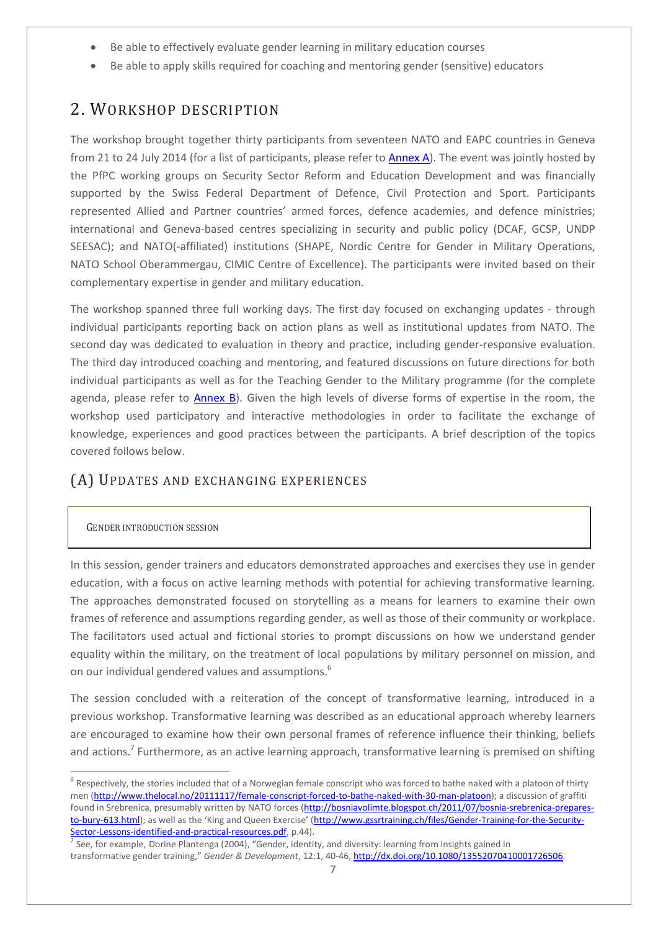- Be able to effectively evaluate gender learning in military education courses
- Be able to apply skills required for coaching and mentoring gender (sensitive) educators

## <span id="page-6-0"></span>2. WORKSHOP DESCRIPTION

The workshop brought together thirty participants from seventeen NATO and EAPC countries in Geneva from 21 to 24 July 2014 (for a list of participants, please refer to **Annex A**). The event was jointly hosted by the PfPC working groups on Security Sector Reform and Education Development and was financially supported by the Swiss Federal Department of Defence, Civil Protection and Sport. Participants represented Allied and Partner countries' armed forces, defence academies, and defence ministries; international and Geneva-based centres specializing in security and public policy (DCAF, GCSP, UNDP SEESAC); and NATO(-affiliated) institutions (SHAPE, Nordic Centre for Gender in Military Operations, NATO School Oberammergau, CIMIC Centre of Excellence). The participants were invited based on their complementary expertise in gender and military education.

The workshop spanned three full working days. The first day focused on exchanging updates - through individual participants reporting back on action plans as well as institutional updates from NATO. The second day was dedicated to evaluation in theory and practice, including gender-responsive evaluation. The third day introduced coaching and mentoring, and featured discussions on future directions for both individual participants as well as for the Teaching Gender to the Military programme (for the complete agenda, please refer to [Annex B\)](#page-14-0). Given the high levels of diverse forms of expertise in the room, the workshop used participatory and interactive methodologies in order to facilitate the exchange of knowledge, experiences and good practices between the participants. A brief description of the topics covered follows below.

## <span id="page-6-1"></span>(A) UPDATES AND EXCHANGING EXPERIENCES

### GENDER INTRODUCTION SESSION

 $\overline{a}$ 

In this session, gender trainers and educators demonstrated approaches and exercises they use in gender education, with a focus on active learning methods with potential for achieving transformative learning. The approaches demonstrated focused on storytelling as a means for learners to examine their own frames of reference and assumptions regarding gender, as well as those of their community or workplace. The facilitators used actual and fictional stories to prompt discussions on how we understand gender equality within the military, on the treatment of local populations by military personnel on mission, and on our individual gendered values and assumptions.<sup>6</sup>

The session concluded with a reiteration of the concept of transformative learning, introduced in a previous workshop. Transformative learning was described as an educational approach whereby learners are encouraged to examine how their own personal frames of reference influence their thinking, beliefs and actions.<sup>7</sup> Furthermore, as an active learning approach, transformative learning is premised on shifting

 $^6$  Respectively, the stories included that of a Norwegian female conscript who was forced to bathe naked with a platoon of thirty men [\(http://www.thelocal.no/20111117/female-conscript-forced-to-bathe-naked-with-30-man-platoon\)](http://www.thelocal.no/20111117/female-conscript-forced-to-bathe-naked-with-30-man-platoon); a discussion of graffiti found in Srebrenica, presumably written by NATO forces [\(http://bosniavolimte.blogspot.ch/2011/07/bosnia-srebrenica-prepares](http://bosniavolimte.blogspot.ch/2011/07/bosnia-srebrenica-prepares-to-bury-613.html)[to-bury-613.html](http://bosniavolimte.blogspot.ch/2011/07/bosnia-srebrenica-prepares-to-bury-613.html)); as well as the 'King and Queen Exercise' ([http://www.gssrtraining.ch/files/Gender-Training-for-the-Security-](http://www.gssrtraining.ch/files/Gender-Training-for-the-Security-Sector-Lessons-identified-and-practical-resources.pdf)

<sup>&</sup>lt;mark>Sector-Lessons-identified-and-practical-resources.pdf</mark>, p.44).<br><sup>7</sup> See, for example, Dorine Plantenga (2004), "Gender, identity, and diversity: learning from insights gained in transformative gender training," *Gender & Development*, 12:1, 40-46, [http://dx.doi.org/10.1080/13552070410001726506.](http://dx.doi.org/10.1080/13552070410001726506)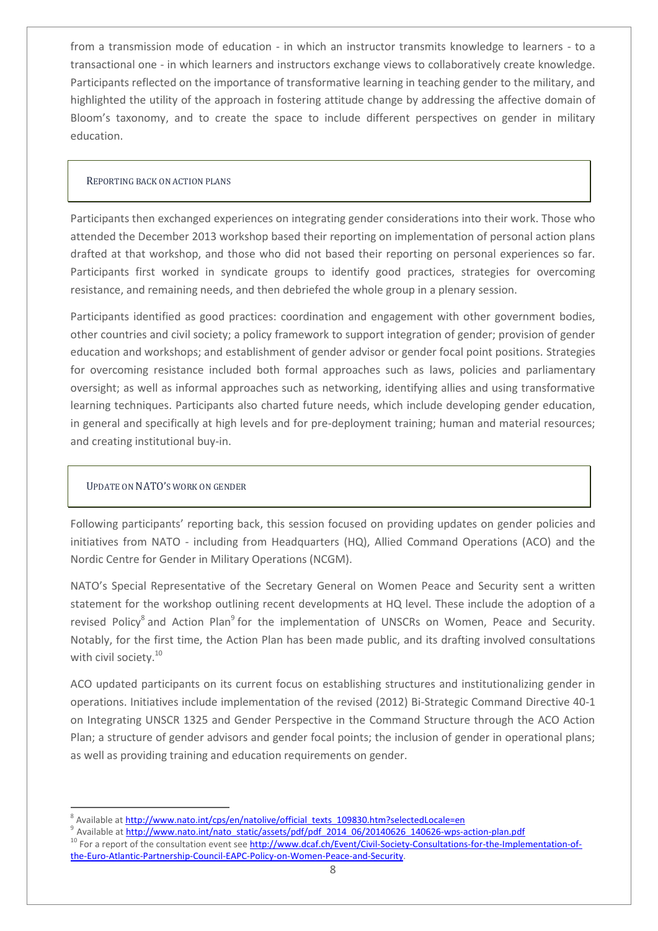from a transmission mode of education - in which an instructor transmits knowledge to learners - to a transactional one - in which learners and instructors exchange views to collaboratively create knowledge. Participants reflected on the importance of transformative learning in teaching gender to the military, and highlighted the utility of the approach in fostering attitude change by addressing the affective domain of Bloom's taxonomy, and to create the space to include different perspectives on gender in military education.

#### REPORTING BACK ON ACTION PLANS

Participants then exchanged experiences on integrating gender considerations into their work. Those who attended the December 2013 workshop based their reporting on implementation of personal action plans drafted at that workshop, and those who did not based their reporting on personal experiences so far. Participants first worked in syndicate groups to identify good practices, strategies for overcoming resistance, and remaining needs, and then debriefed the whole group in a plenary session.

Participants identified as good practices: coordination and engagement with other government bodies, other countries and civil society; a policy framework to support integration of gender; provision of gender education and workshops; and establishment of gender advisor or gender focal point positions. Strategies for overcoming resistance included both formal approaches such as laws, policies and parliamentary oversight; as well as informal approaches such as networking, identifying allies and using transformative learning techniques. Participants also charted future needs, which include developing gender education, in general and specifically at high levels and for pre-deployment training; human and material resources; and creating institutional buy-in.

### UPDATE ON NATO'S WORK ON GENDER

 $\overline{a}$ 

Following participants' reporting back, this session focused on providing updates on gender policies and initiatives from NATO - including from Headquarters (HQ), Allied Command Operations (ACO) and the Nordic Centre for Gender in Military Operations (NCGM).

NATO's Special Representative of the Secretary General on Women Peace and Security sent a written statement for the workshop outlining recent developments at HQ level. These include the adoption of a revised Policy<sup>8</sup> and Action Plan<sup>9</sup> for the implementation of UNSCRs on Women, Peace and Security. Notably, for the first time, the Action Plan has been made public, and its drafting involved consultations with civil society.<sup>10</sup>

ACO updated participants on its current focus on establishing structures and institutionalizing gender in operations. Initiatives include implementation of the revised (2012) Bi-Strategic Command Directive 40-1 on Integrating UNSCR 1325 and Gender Perspective in the Command Structure through the ACO Action Plan; a structure of gender advisors and gender focal points; the inclusion of gender in operational plans; as well as providing training and education requirements on gender.

<sup>8</sup> Available a[t http://www.nato.int/cps/en/natolive/official\\_texts\\_109830.htm?selectedLocale=en](http://www.nato.int/cps/en/natolive/official_texts_109830.htm?selectedLocale=en)

<sup>&</sup>lt;sup>9</sup> Available at [http://www.nato.int/nato\\_static/assets/pdf/pdf\\_2014\\_06/20140626\\_140626-wps-action-plan.pdf](http://www.nato.int/nato_static/assets/pdf/pdf_2014_06/20140626_140626-wps-action-plan.pdf)

<sup>10</sup> For a report of the consultation event se[e http://www.dcaf.ch/Event/Civil-Society-Consultations-for-the-Implementation-of](http://www.dcaf.ch/Event/Civil-Society-Consultations-for-the-Implementation-of-the-Euro-Atlantic-Partnership-Council-EAPC-Policy-on-Women-Peace-and-Security)[the-Euro-Atlantic-Partnership-Council-EAPC-Policy-on-Women-Peace-and-Security.](http://www.dcaf.ch/Event/Civil-Society-Consultations-for-the-Implementation-of-the-Euro-Atlantic-Partnership-Council-EAPC-Policy-on-Women-Peace-and-Security)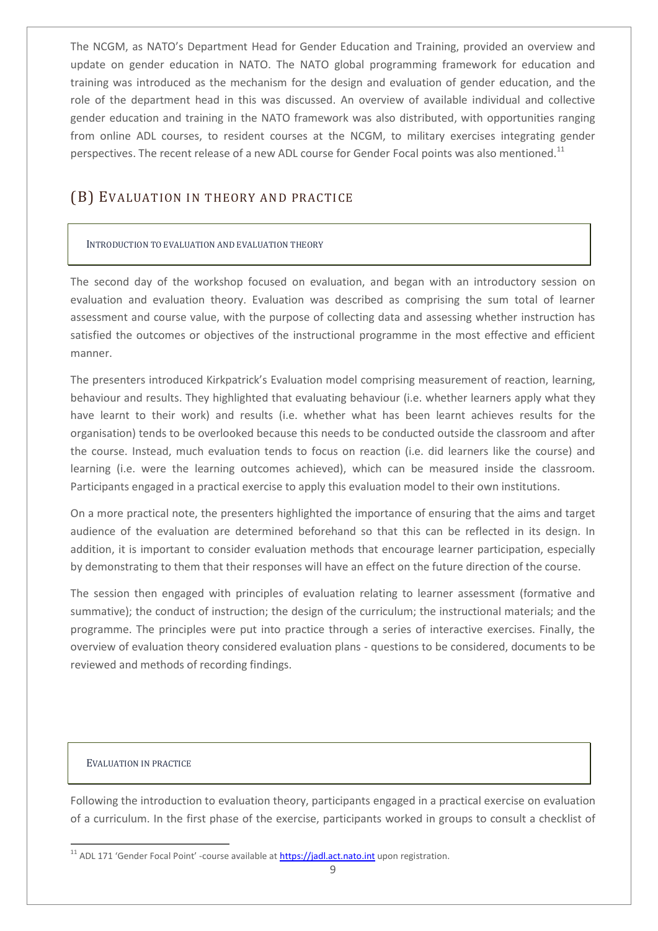The NCGM, as NATO's Department Head for Gender Education and Training, provided an overview and update on gender education in NATO. The NATO global programming framework for education and training was introduced as the mechanism for the design and evaluation of gender education, and the role of the department head in this was discussed. An overview of available individual and collective gender education and training in the NATO framework was also distributed, with opportunities ranging from online ADL courses, to resident courses at the NCGM, to military exercises integrating gender perspectives. The recent release of a new ADL course for Gender Focal points was also mentioned.<sup>11</sup>

## <span id="page-8-0"></span>(B) EVALUATION IN THEORY AND PRACTICE

### INTRODUCTION TO EVALUATION AND EVALUATION THEORY

The second day of the workshop focused on evaluation, and began with an introductory session on evaluation and evaluation theory. Evaluation was described as comprising the sum total of learner assessment and course value, with the purpose of collecting data and assessing whether instruction has satisfied the outcomes or objectives of the instructional programme in the most effective and efficient manner.

The presenters introduced Kirkpatrick's Evaluation model comprising measurement of reaction, learning, behaviour and results. They highlighted that evaluating behaviour (i.e. whether learners apply what they have learnt to their work) and results (i.e. whether what has been learnt achieves results for the organisation) tends to be overlooked because this needs to be conducted outside the classroom and after the course. Instead, much evaluation tends to focus on reaction (i.e. did learners like the course) and learning (i.e. were the learning outcomes achieved), which can be measured inside the classroom. Participants engaged in a practical exercise to apply this evaluation model to their own institutions.

On a more practical note, the presenters highlighted the importance of ensuring that the aims and target audience of the evaluation are determined beforehand so that this can be reflected in its design. In addition, it is important to consider evaluation methods that encourage learner participation, especially by demonstrating to them that their responses will have an effect on the future direction of the course.

The session then engaged with principles of evaluation relating to learner assessment (formative and summative); the conduct of instruction; the design of the curriculum; the instructional materials; and the programme. The principles were put into practice through a series of interactive exercises. Finally, the overview of evaluation theory considered evaluation plans - questions to be considered, documents to be reviewed and methods of recording findings.

### EVALUATION IN PRACTICE

 $\overline{a}$ 

Following the introduction to evaluation theory, participants engaged in a practical exercise on evaluation of a curriculum. In the first phase of the exercise, participants worked in groups to consult a checklist of

<sup>&</sup>lt;sup>11</sup> ADL 171 'Gender Focal Point' -course available at *https://jadl.act.nato.int* upon registration.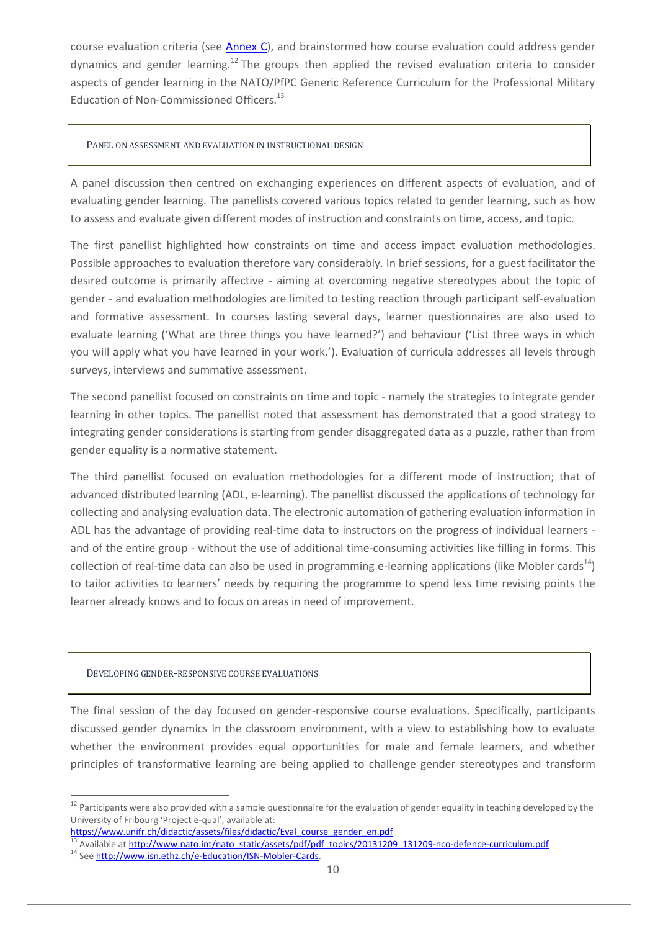course evaluation criteria (see [Annex C\)](#page-18-1), and brainstormed how course evaluation could address gender dynamics and gender learning.<sup>12</sup> The groups then applied the revised evaluation criteria to consider aspects of gender learning in the NATO/PfPC Generic Reference Curriculum for the Professional Military Education of Non-Commissioned Officers.<sup>13</sup>

#### PANEL ON ASSESSMENT AND EVALUATION IN INSTRUCTIONAL DESIGN

A panel discussion then centred on exchanging experiences on different aspects of evaluation, and of evaluating gender learning. The panellists covered various topics related to gender learning, such as how to assess and evaluate given different modes of instruction and constraints on time, access, and topic.

The first panellist highlighted how constraints on time and access impact evaluation methodologies. Possible approaches to evaluation therefore vary considerably. In brief sessions, for a guest facilitator the desired outcome is primarily affective - aiming at overcoming negative stereotypes about the topic of gender - and evaluation methodologies are limited to testing reaction through participant self-evaluation and formative assessment. In courses lasting several days, learner questionnaires are also used to evaluate learning ('What are three things you have learned?') and behaviour ('List three ways in which you will apply what you have learned in your work.'). Evaluation of curricula addresses all levels through surveys, interviews and summative assessment.

The second panellist focused on constraints on time and topic - namely the strategies to integrate gender learning in other topics. The panellist noted that assessment has demonstrated that a good strategy to integrating gender considerations is starting from gender disaggregated data as a puzzle, rather than from gender equality is a normative statement.

The third panellist focused on evaluation methodologies for a different mode of instruction; that of advanced distributed learning (ADL, e-learning). The panellist discussed the applications of technology for collecting and analysing evaluation data. The electronic automation of gathering evaluation information in ADL has the advantage of providing real-time data to instructors on the progress of individual learners and of the entire group - without the use of additional time-consuming activities like filling in forms. This collection of real-time data can also be used in programming e-learning applications (like Mobler cards<sup>14</sup>) to tailor activities to learners' needs by requiring the programme to spend less time revising points the learner already knows and to focus on areas in need of improvement.

### DEVELOPING GENDER-RESPONSIVE COURSE EVALUATIONS

 $\overline{a}$ 

The final session of the day focused on gender-responsive course evaluations. Specifically, participants discussed gender dynamics in the classroom environment, with a view to establishing how to evaluate whether the environment provides equal opportunities for male and female learners, and whether principles of transformative learning are being applied to challenge gender stereotypes and transform

<sup>&</sup>lt;sup>12</sup> Participants were also provided with a sample questionnaire for the evaluation of gender equality in teaching developed by the University of Fribourg 'Project e-qual', available at:

[https://www.unifr.ch/didactic/assets/files/didactic/Eval\\_course\\_gender\\_en.pdf](https://www.unifr.ch/didactic/assets/files/didactic/Eval_course_gender_en.pdf)

<sup>13</sup> Available a[t http://www.nato.int/nato\\_static/assets/pdf/pdf\\_topics/20131209\\_131209-nco-defence-curriculum.pdf](http://www.nato.int/nato_static/assets/pdf/pdf_topics/20131209_131209-nco-defence-curriculum.pdf) <sup>14</sup> See [http://www.isn.ethz.ch/e-Education/ISN-Mobler-Cards.](http://www.isn.ethz.ch/e-Education/ISN-Mobler-Cards)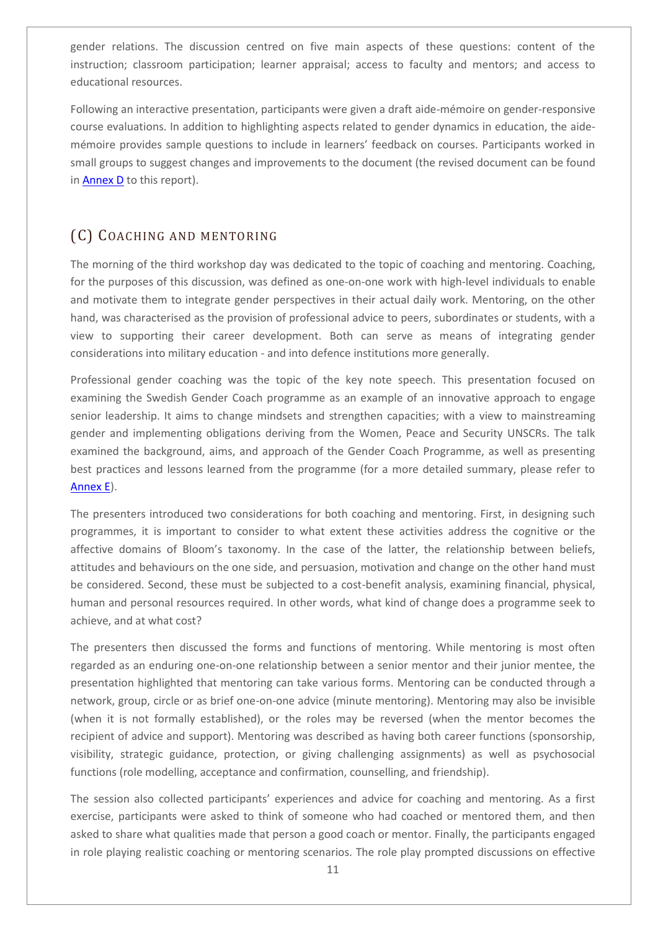gender relations. The discussion centred on five main aspects of these questions: content of the instruction; classroom participation; learner appraisal; access to faculty and mentors; and access to educational resources.

Following an interactive presentation, participants were given a draft aide-mémoire on gender-responsive course evaluations. In addition to highlighting aspects related to gender dynamics in education, the aidemémoire provides sample questions to include in learners' feedback on courses. Participants worked in small groups to suggest changes and improvements to the document (the revised document can be found in **Annex D** to this report).

## <span id="page-10-0"></span>(C) COACHING AND MENTORING

The morning of the third workshop day was dedicated to the topic of coaching and mentoring. Coaching, for the purposes of this discussion, was defined as one-on-one work with high-level individuals to enable and motivate them to integrate gender perspectives in their actual daily work. Mentoring, on the other hand, was characterised as the provision of professional advice to peers, subordinates or students, with a view to supporting their career development. Both can serve as means of integrating gender considerations into military education - and into defence institutions more generally.

Professional gender coaching was the topic of the key note speech. This presentation focused on examining the Swedish Gender Coach programme as an example of an innovative approach to engage senior leadership. It aims to change mindsets and strengthen capacities; with a view to mainstreaming gender and implementing obligations deriving from the Women, Peace and Security UNSCRs. The talk examined the background, aims, and approach of the Gender Coach Programme, as well as presenting best practices and lessons learned from the programme (for a more detailed summary, please refer to [Annex E\)](#page-21-1).

The presenters introduced two considerations for both coaching and mentoring. First, in designing such programmes, it is important to consider to what extent these activities address the cognitive or the affective domains of Bloom's taxonomy. In the case of the latter, the relationship between beliefs, attitudes and behaviours on the one side, and persuasion, motivation and change on the other hand must be considered. Second, these must be subjected to a cost-benefit analysis, examining financial, physical, human and personal resources required. In other words, what kind of change does a programme seek to achieve, and at what cost?

The presenters then discussed the forms and functions of mentoring. While mentoring is most often regarded as an enduring one-on-one relationship between a senior mentor and their junior mentee, the presentation highlighted that mentoring can take various forms. Mentoring can be conducted through a network, group, circle or as brief one-on-one advice (minute mentoring). Mentoring may also be invisible (when it is not formally established), or the roles may be reversed (when the mentor becomes the recipient of advice and support). Mentoring was described as having both career functions (sponsorship, visibility, strategic guidance, protection, or giving challenging assignments) as well as psychosocial functions (role modelling, acceptance and confirmation, counselling, and friendship).

The session also collected participants' experiences and advice for coaching and mentoring. As a first exercise, participants were asked to think of someone who had coached or mentored them, and then asked to share what qualities made that person a good coach or mentor. Finally, the participants engaged in role playing realistic coaching or mentoring scenarios. The role play prompted discussions on effective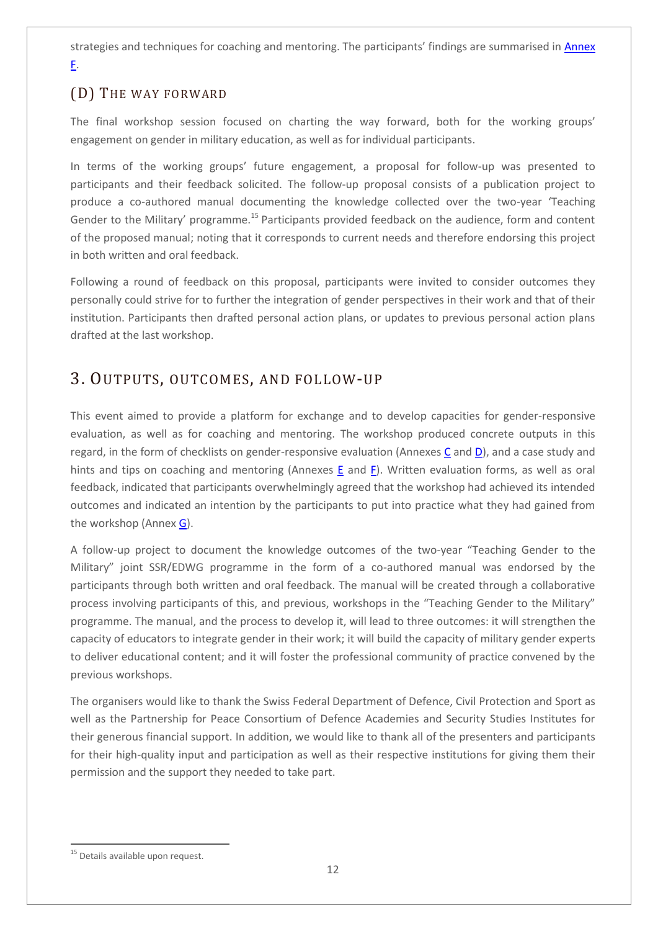strategies and techniques for coaching and mentoring. The participants' findings are summarised in Annex [F.](#page-24-1)

## <span id="page-11-0"></span>(D) THE WAY FORWARD

The final workshop session focused on charting the way forward, both for the working groups' engagement on gender in military education, as well as for individual participants.

In terms of the working groups' future engagement, a proposal for follow-up was presented to participants and their feedback solicited. The follow-up proposal consists of a publication project to produce a co-authored manual documenting the knowledge collected over the two-year 'Teaching Gender to the Military' programme.<sup>15</sup> Participants provided feedback on the audience, form and content of the proposed manual; noting that it corresponds to current needs and therefore endorsing this project in both written and oral feedback.

Following a round of feedback on this proposal, participants were invited to consider outcomes they personally could strive for to further the integration of gender perspectives in their work and that of their institution. Participants then drafted personal action plans, or updates to previous personal action plans drafted at the last workshop.

## <span id="page-11-1"></span>3. OUTPUTS, OUTCOMES, AND FOLLOW-UP

This event aimed to provide a platform for exchange and to develop capacities for gender-responsive evaluation, as well as for coaching and mentoring. The workshop produced concrete outputs in this regard, in the form of checklists on gender-responsive evaluation (Annexes [C](#page-18-1) an[d D\)](#page-19-1), and a case study and hints and tips on coaching and mentoring (Annexes [E](#page-21-1) and [F\)](#page-24-1). Written evaluation forms, as well as oral feedback, indicated that participants overwhelmingly agreed that the workshop had achieved its intended outcomes and indicated an intention by the participants to put into practice what they had gained from the workshop (Annex [G\)](#page-24-2).

A follow-up project to document the knowledge outcomes of the two-year "Teaching Gender to the Military" joint SSR/EDWG programme in the form of a co-authored manual was endorsed by the participants through both written and oral feedback. The manual will be created through a collaborative process involving participants of this, and previous, workshops in the "Teaching Gender to the Military" programme. The manual, and the process to develop it, will lead to three outcomes: it will strengthen the capacity of educators to integrate gender in their work; it will build the capacity of military gender experts to deliver educational content; and it will foster the professional community of practice convened by the previous workshops.

The organisers would like to thank the Swiss Federal Department of Defence, Civil Protection and Sport as well as the Partnership for Peace Consortium of Defence Academies and Security Studies Institutes for their generous financial support. In addition, we would like to thank all of the presenters and participants for their high-quality input and participation as well as their respective institutions for giving them their permission and the support they needed to take part.

 $\overline{a}$ 

<sup>&</sup>lt;sup>15</sup> Details available upon request.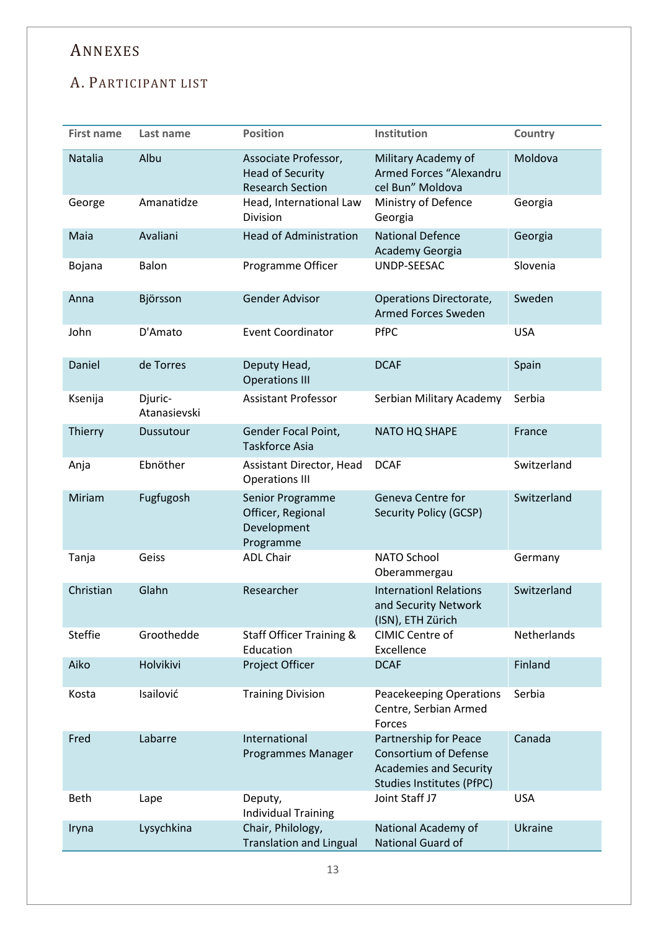# <span id="page-12-0"></span>ANNEXES

## <span id="page-12-1"></span>A. PARTICIPANT LIST

| <b>First name</b> | Last name               | <b>Position</b>                                                            | Institution                                                                                                         | Country        |
|-------------------|-------------------------|----------------------------------------------------------------------------|---------------------------------------------------------------------------------------------------------------------|----------------|
| Natalia           | Albu                    | Associate Professor,<br><b>Head of Security</b><br><b>Research Section</b> | Military Academy of<br>Armed Forces "Alexandru<br>cel Bun" Moldova                                                  | Moldova        |
| George            | Amanatidze              | Head, International Law<br>Division                                        | Ministry of Defence<br>Georgia                                                                                      | Georgia        |
| Maia              | Avaliani                | <b>Head of Administration</b>                                              | <b>National Defence</b><br>Academy Georgia                                                                          | Georgia        |
| Bojana            | Balon                   | Programme Officer                                                          | UNDP-SEESAC                                                                                                         | Slovenia       |
| Anna              | Björsson                | <b>Gender Advisor</b>                                                      | Operations Directorate,<br><b>Armed Forces Sweden</b>                                                               | Sweden         |
| John              | D'Amato                 | <b>Event Coordinator</b>                                                   | <b>PfPC</b>                                                                                                         | <b>USA</b>     |
| Daniel            | de Torres               | Deputy Head,<br><b>Operations III</b>                                      | <b>DCAF</b>                                                                                                         | Spain          |
| Ksenija           | Djuric-<br>Atanasievski | <b>Assistant Professor</b>                                                 | Serbian Military Academy                                                                                            | Serbia         |
| Thierry           | Dussutour               | Gender Focal Point,<br><b>Taskforce Asia</b>                               | NATO HQ SHAPE                                                                                                       | France         |
| Anja              | Ebnöther                | Assistant Director, Head<br><b>Operations III</b>                          | <b>DCAF</b>                                                                                                         | Switzerland    |
| Miriam            | Fugfugosh               | Senior Programme<br>Officer, Regional<br>Development<br>Programme          | Geneva Centre for<br>Security Policy (GCSP)                                                                         | Switzerland    |
| Tanja             | Geiss                   | <b>ADL Chair</b>                                                           | <b>NATO School</b><br>Oberammergau                                                                                  | Germany        |
| Christian         | Glahn                   | Researcher                                                                 | <b>Internationl Relations</b><br>and Security Network<br>(ISN), ETH Zürich                                          | Switzerland    |
| <b>Steffie</b>    | Groothedde              | <b>Staff Officer Training &amp;</b><br>Education                           | CIMIC Centre of<br>Excellence                                                                                       | Netherlands    |
| Aiko              | Holvikivi               | Project Officer                                                            | <b>DCAF</b>                                                                                                         | Finland        |
| Kosta             | Isailović               | <b>Training Division</b>                                                   | <b>Peacekeeping Operations</b><br>Centre, Serbian Armed<br>Forces                                                   | Serbia         |
| Fred              | Labarre                 | International<br>Programmes Manager                                        | Partnership for Peace<br><b>Consortium of Defense</b><br><b>Academies and Security</b><br>Studies Institutes (PfPC) | Canada         |
| <b>Beth</b>       | Lape                    | Deputy,<br><b>Individual Training</b>                                      | Joint Staff J7                                                                                                      | <b>USA</b>     |
| Iryna             | Lysychkina              | Chair, Philology,<br><b>Translation and Lingual</b>                        | National Academy of<br>National Guard of                                                                            | <b>Ukraine</b> |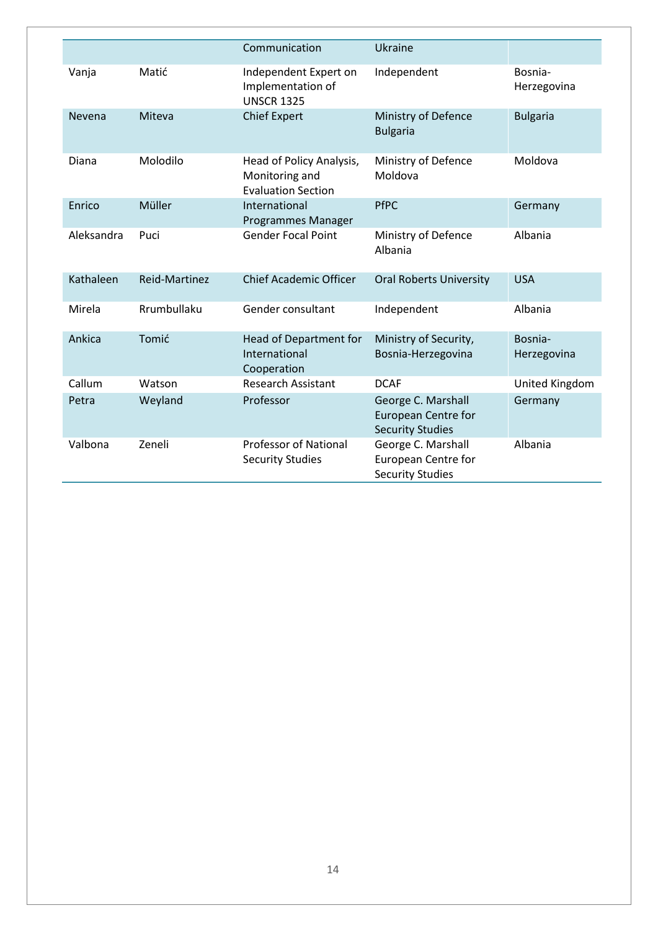|            |               | Communication                                                           | Ukraine                                                                     |                        |
|------------|---------------|-------------------------------------------------------------------------|-----------------------------------------------------------------------------|------------------------|
| Vanja      | Matić         | Independent Expert on<br>Implementation of<br><b>UNSCR 1325</b>         | Independent                                                                 | Bosnia-<br>Herzegovina |
| Nevena     | Miteva        | <b>Chief Expert</b>                                                     | Ministry of Defence<br><b>Bulgaria</b>                                      | <b>Bulgaria</b>        |
| Diana      | Molodilo      | Head of Policy Analysis,<br>Monitoring and<br><b>Evaluation Section</b> | Ministry of Defence<br>Moldova                                              | Moldova                |
| Enrico     | Müller        | International<br>Programmes Manager                                     | <b>PfPC</b>                                                                 | Germany                |
| Aleksandra | Puci          | <b>Gender Focal Point</b>                                               | Ministry of Defence<br>Albania                                              | Albania                |
| Kathaleen  | Reid-Martinez | <b>Chief Academic Officer</b>                                           | <b>Oral Roberts University</b>                                              | <b>USA</b>             |
| Mirela     | Rrumbullaku   | Gender consultant                                                       | Independent                                                                 | Albania                |
| Ankica     | Tomić         | Head of Department for<br>International<br>Cooperation                  | Ministry of Security,<br>Bosnia-Herzegovina                                 | Bosnia-<br>Herzegovina |
| Callum     | Watson        | <b>Research Assistant</b>                                               | <b>DCAF</b>                                                                 | United Kingdom         |
| Petra      | Weyland       | Professor                                                               | George C. Marshall<br><b>European Centre for</b><br><b>Security Studies</b> | Germany                |
| Valbona    | Zeneli        | <b>Professor of National</b><br><b>Security Studies</b>                 | George C. Marshall<br>European Centre for<br><b>Security Studies</b>        | Albania                |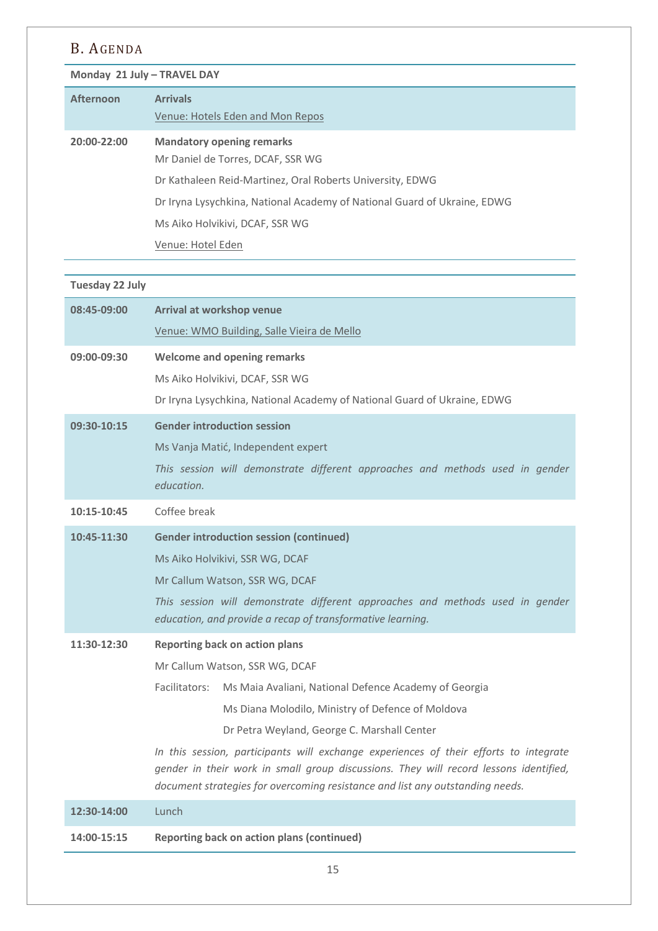## <span id="page-14-0"></span>B. AGENDA

**Monday 21 July – TRAVEL DAY**

| Afternoon   | <b>Arrivals</b><br>Venue: Hotels Eden and Mon Repos                      |
|-------------|--------------------------------------------------------------------------|
| 20:00-22:00 | <b>Mandatory opening remarks</b><br>Mr Daniel de Torres, DCAF, SSR WG    |
|             | Dr Kathaleen Reid-Martinez, Oral Roberts University, EDWG                |
|             | Dr Iryna Lysychkina, National Academy of National Guard of Ukraine, EDWG |
|             | Ms Aiko Holvikivi, DCAF, SSR WG                                          |
|             | Venue: Hotel Eden                                                        |

## **Tuesday 22 July**

| 08:45-09:00 | Arrival at workshop venue                                                                                                                                                      |  |
|-------------|--------------------------------------------------------------------------------------------------------------------------------------------------------------------------------|--|
|             | Venue: WMO Building, Salle Vieira de Mello                                                                                                                                     |  |
| 09:00-09:30 | <b>Welcome and opening remarks</b>                                                                                                                                             |  |
|             | Ms Aiko Holvikivi, DCAF, SSR WG                                                                                                                                                |  |
|             | Dr Iryna Lysychkina, National Academy of National Guard of Ukraine, EDWG                                                                                                       |  |
| 09:30-10:15 | <b>Gender introduction session</b>                                                                                                                                             |  |
|             | Ms Vanja Matić, Independent expert                                                                                                                                             |  |
|             | This session will demonstrate different approaches and methods used in gender<br>education.                                                                                    |  |
| 10:15-10:45 | Coffee break                                                                                                                                                                   |  |
| 10:45-11:30 | <b>Gender introduction session (continued)</b>                                                                                                                                 |  |
|             | Ms Aiko Holvikivi, SSR WG, DCAF                                                                                                                                                |  |
|             | Mr Callum Watson, SSR WG, DCAF                                                                                                                                                 |  |
|             | This session will demonstrate different approaches and methods used in gender<br>education, and provide a recap of transformative learning.                                    |  |
| 11:30-12:30 | <b>Reporting back on action plans</b>                                                                                                                                          |  |
|             | Mr Callum Watson, SSR WG, DCAF                                                                                                                                                 |  |
|             | Facilitators:<br>Ms Maia Avaliani, National Defence Academy of Georgia                                                                                                         |  |
|             | Ms Diana Molodilo, Ministry of Defence of Moldova                                                                                                                              |  |
|             | Dr Petra Weyland, George C. Marshall Center                                                                                                                                    |  |
|             | In this session, participants will exchange experiences of their efforts to integrate<br>gender in their work in small group discussions. They will record lessons identified, |  |
|             | document strategies for overcoming resistance and list any outstanding needs.                                                                                                  |  |
| 12:30-14:00 | Lunch                                                                                                                                                                          |  |
| 14:00-15:15 | <b>Reporting back on action plans (continued)</b>                                                                                                                              |  |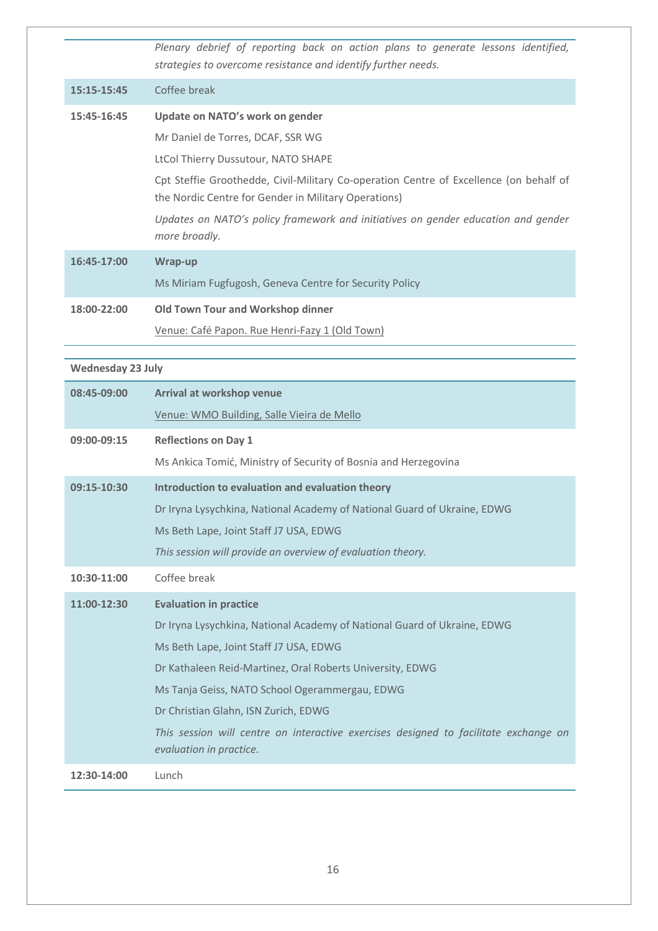*Plenary debrief of reporting back on action plans to generate lessons identified, strategies to overcome resistance and identify further needs.* **15:15-15:45** Coffee break **15:45-16:45 Update on NATO's work on gender** Mr Daniel de Torres, DCAF, SSR WG LtCol Thierry Dussutour, NATO SHAPE Cpt Steffie Groothedde, Civil-Military Co-operation Centre of Excellence (on behalf of the Nordic Centre for Gender in Military Operations) *Updates on NATO's policy framework and initiatives on gender education and gender more broadly.* **16:45-17:00 Wrap-up**  Ms Miriam Fugfugosh, Geneva Centre for Security Policy **18:00-22:00 Old Town Tour and Workshop dinner** Venue: Café Papon. Rue Henri-Fazy 1 (Old Town)

#### **Wednesday 23 July**

| 08:45-09:00 | Arrival at workshop venue                                                                                       |
|-------------|-----------------------------------------------------------------------------------------------------------------|
|             | Venue: WMO Building, Salle Vieira de Mello                                                                      |
| 09:00-09:15 | <b>Reflections on Day 1</b>                                                                                     |
|             | Ms Ankica Tomić, Ministry of Security of Bosnia and Herzegovina                                                 |
| 09:15-10:30 | Introduction to evaluation and evaluation theory                                                                |
|             | Dr Iryna Lysychkina, National Academy of National Guard of Ukraine, EDWG                                        |
|             | Ms Beth Lape, Joint Staff J7 USA, EDWG                                                                          |
|             | This session will provide an overview of evaluation theory.                                                     |
| 10:30-11:00 | Coffee break                                                                                                    |
| 11:00-12:30 | <b>Evaluation in practice</b>                                                                                   |
|             | Dr Iryna Lysychkina, National Academy of National Guard of Ukraine, EDWG                                        |
|             | Ms Beth Lape, Joint Staff J7 USA, EDWG                                                                          |
|             | Dr Kathaleen Reid-Martinez, Oral Roberts University, EDWG                                                       |
|             | Ms Tanja Geiss, NATO School Ogerammergau, EDWG                                                                  |
|             | Dr Christian Glahn, ISN Zurich, EDWG                                                                            |
|             | This session will centre on interactive exercises designed to facilitate exchange on<br>evaluation in practice. |
| 12:30-14:00 | Lunch                                                                                                           |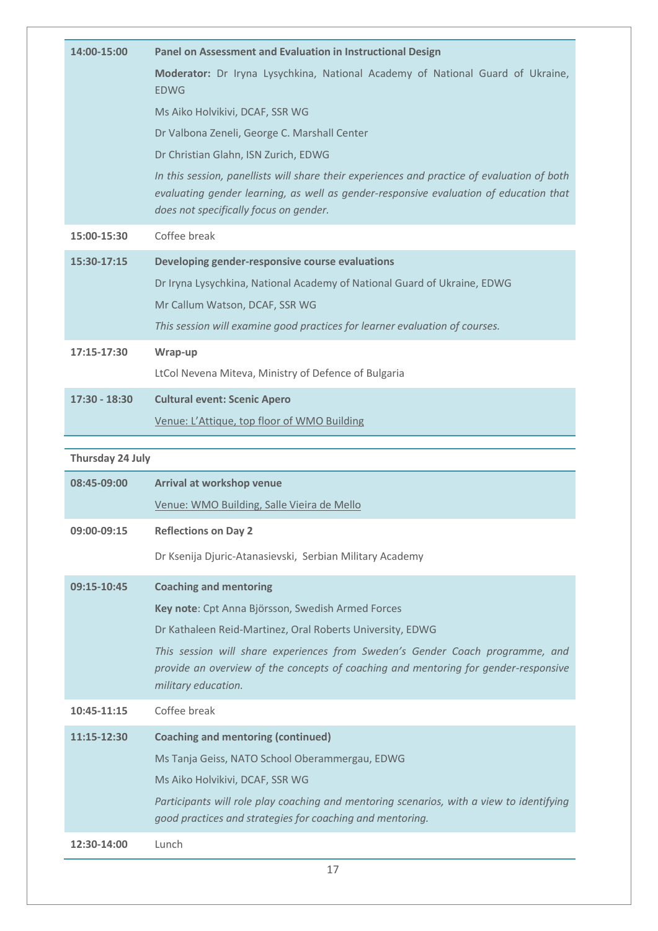| 14:00-15:00      | Panel on Assessment and Evaluation in Instructional Design                                                                                                                                                                     |
|------------------|--------------------------------------------------------------------------------------------------------------------------------------------------------------------------------------------------------------------------------|
|                  | Moderator: Dr Iryna Lysychkina, National Academy of National Guard of Ukraine,<br><b>EDWG</b>                                                                                                                                  |
|                  | Ms Aiko Holvikivi, DCAF, SSR WG                                                                                                                                                                                                |
|                  | Dr Valbona Zeneli, George C. Marshall Center                                                                                                                                                                                   |
|                  | Dr Christian Glahn, ISN Zurich, EDWG                                                                                                                                                                                           |
|                  | In this session, panellists will share their experiences and practice of evaluation of both<br>evaluating gender learning, as well as gender-responsive evaluation of education that<br>does not specifically focus on gender. |
| 15:00-15:30      | Coffee break                                                                                                                                                                                                                   |
| 15:30-17:15      | Developing gender-responsive course evaluations                                                                                                                                                                                |
|                  | Dr Iryna Lysychkina, National Academy of National Guard of Ukraine, EDWG                                                                                                                                                       |
|                  | Mr Callum Watson, DCAF, SSR WG                                                                                                                                                                                                 |
|                  | This session will examine good practices for learner evaluation of courses.                                                                                                                                                    |
| 17:15-17:30      | Wrap-up                                                                                                                                                                                                                        |
|                  | LtCol Nevena Miteva, Ministry of Defence of Bulgaria                                                                                                                                                                           |
| $17:30 - 18:30$  | <b>Cultural event: Scenic Apero</b>                                                                                                                                                                                            |
|                  | Venue: L'Attique, top floor of WMO Building                                                                                                                                                                                    |
|                  |                                                                                                                                                                                                                                |
|                  |                                                                                                                                                                                                                                |
| Thursday 24 July |                                                                                                                                                                                                                                |
| 08:45-09:00      | Arrival at workshop venue                                                                                                                                                                                                      |
|                  | Venue: WMO Building, Salle Vieira de Mello                                                                                                                                                                                     |
| 09:00-09:15      | <b>Reflections on Day 2</b>                                                                                                                                                                                                    |
|                  | Dr Ksenija Djuric-Atanasievski, Serbian Military Academy                                                                                                                                                                       |
| 09:15-10:45      | <b>Coaching and mentoring</b>                                                                                                                                                                                                  |
|                  | Key note: Cpt Anna Björsson, Swedish Armed Forces                                                                                                                                                                              |
|                  | Dr Kathaleen Reid-Martinez, Oral Roberts University, EDWG                                                                                                                                                                      |
|                  | This session will share experiences from Sweden's Gender Coach programme, and<br>provide an overview of the concepts of coaching and mentoring for gender-responsive<br>military education.                                    |
| 10:45-11:15      | Coffee break                                                                                                                                                                                                                   |
| 11:15-12:30      | <b>Coaching and mentoring (continued)</b>                                                                                                                                                                                      |
|                  | Ms Tanja Geiss, NATO School Oberammergau, EDWG                                                                                                                                                                                 |
|                  | Ms Aiko Holvikivi, DCAF, SSR WG                                                                                                                                                                                                |

**12:30-14:00** Lunch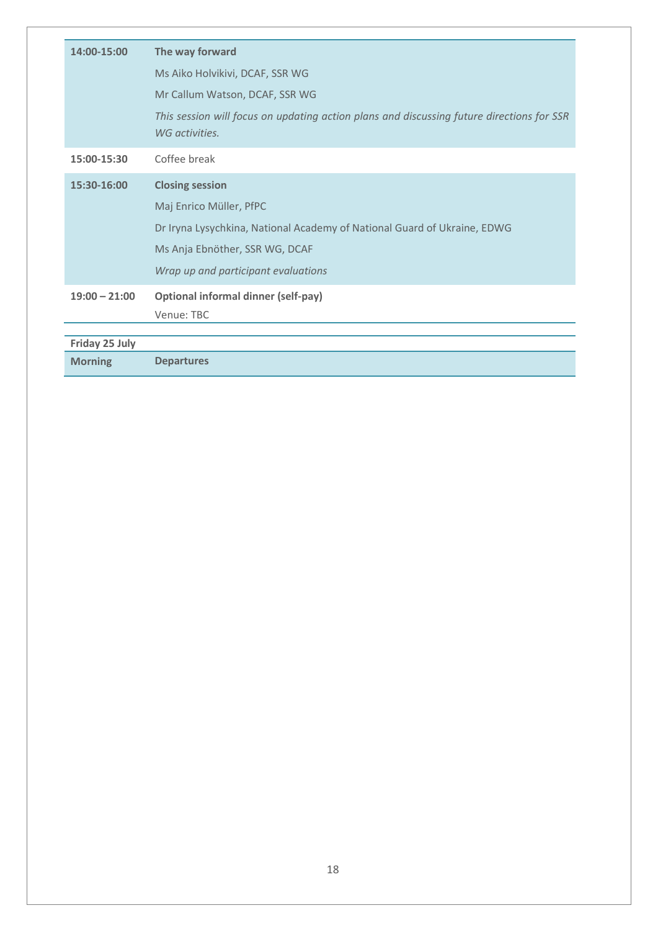| 14:00-15:00     | The way forward                                                                                             |
|-----------------|-------------------------------------------------------------------------------------------------------------|
|                 | Ms Aiko Holvikivi, DCAF, SSR WG                                                                             |
|                 | Mr Callum Watson, DCAF, SSR WG                                                                              |
|                 | This session will focus on updating action plans and discussing future directions for SSR<br>WG activities. |
| 15:00-15:30     | Coffee break                                                                                                |
| 15:30-16:00     | <b>Closing session</b>                                                                                      |
|                 | Maj Enrico Müller, PfPC                                                                                     |
|                 | Dr Iryna Lysychkina, National Academy of National Guard of Ukraine, EDWG                                    |
|                 | Ms Anja Ebnöther, SSR WG, DCAF                                                                              |
|                 | Wrap up and participant evaluations                                                                         |
| $19:00 - 21:00$ | <b>Optional informal dinner (self-pay)</b>                                                                  |
|                 | Venue: TBC                                                                                                  |
| Friday 25 July  |                                                                                                             |
| <b>Morning</b>  | <b>Departures</b>                                                                                           |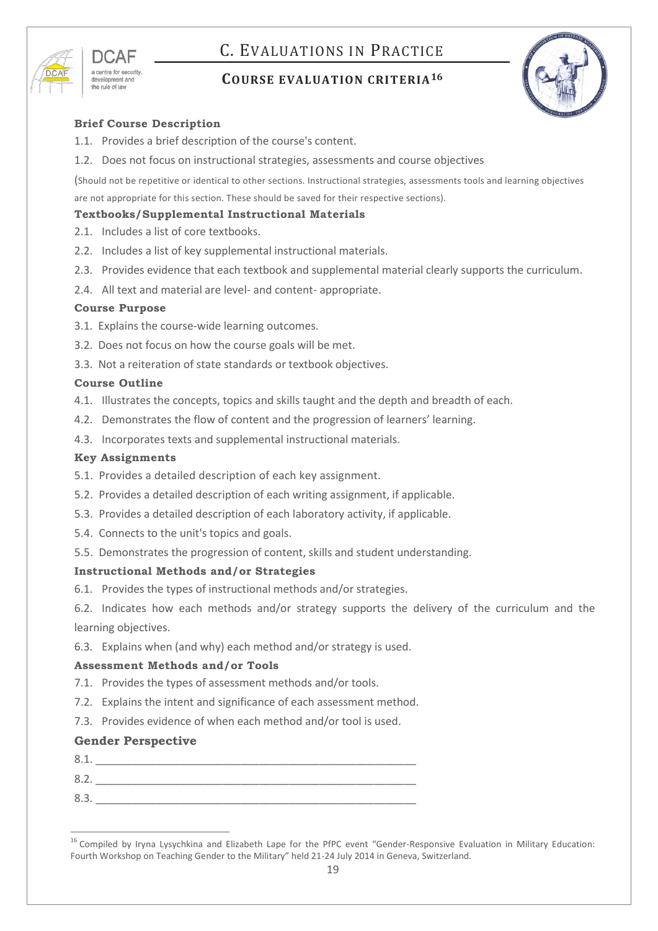# <span id="page-18-0"></span>C. EVALUATIONS IN PRACTICE

<span id="page-18-1"></span>

## **COURSE EVALUATION CRITERIA<sup>16</sup>**



### **Brief Course Description**

- 1.1. Provides a brief description of the course's content.
- 1.2. Does not focus on instructional strategies, assessments and course objectives

(Should not be repetitive or identical to other sections. Instructional strategies, assessments tools and learning objectives are not appropriate for this section. These should be saved for their respective sections).

### **Textbooks/Supplemental Instructional Materials**

- 2.1. Includes a list of core textbooks.
- 2.2. Includes a list of key supplemental instructional materials.
- 2.3. Provides evidence that each textbook and supplemental material clearly supports the curriculum.
- 2.4. All text and material are level- and content- appropriate.

### **Course Purpose**

- 3.1. Explains the course-wide learning outcomes.
- 3.2. Does not focus on how the course goals will be met.
- 3.3. Not a reiteration of state standards or textbook objectives.

### **Course Outline**

- 4.1. Illustrates the concepts, topics and skills taught and the depth and breadth of each.
- 4.2. Demonstrates the flow of content and the progression of learners' learning.
- 4.3. Incorporates texts and supplemental instructional materials.

### **Key Assignments**

- 5.1. Provides a detailed description of each key assignment.
- 5.2. Provides a detailed description of each writing assignment, if applicable.
- 5.3. Provides a detailed description of each laboratory activity, if applicable.
- 5.4. Connects to the unit's topics and goals.
- 5.5. Demonstrates the progression of content, skills and student understanding.

### **Instructional Methods and/or Strategies**

6.1. Provides the types of instructional methods and/or strategies.

6.2. Indicates how each methods and/or strategy supports the delivery of the curriculum and the learning objectives.

6.3. Explains when (and why) each method and/or strategy is used.

### **Assessment Methods and/or Tools**

- 7.1. Provides the types of assessment methods and/or tools.
- 7.2. Explains the intent and significance of each assessment method.
- 7.3. Provides evidence of when each method and/or tool is used.

### **Gender Perspective**

- $8.1.$
- 8.2. \_\_\_\_\_\_\_\_\_\_\_\_\_\_\_\_\_\_\_\_\_\_\_\_\_\_\_\_\_\_\_\_\_\_\_\_\_\_\_\_\_\_\_\_\_\_\_\_\_\_\_\_\_
- $8.3.$

 $\overline{a}$ <sup>16</sup> Compiled by Iryna Lysychkina and Elizabeth Lape for the PfPC event "Gender-Responsive Evaluation in Military Education: Fourth Workshop on Teaching Gender to the Military" held 21-24 July 2014 in Geneva, Switzerland.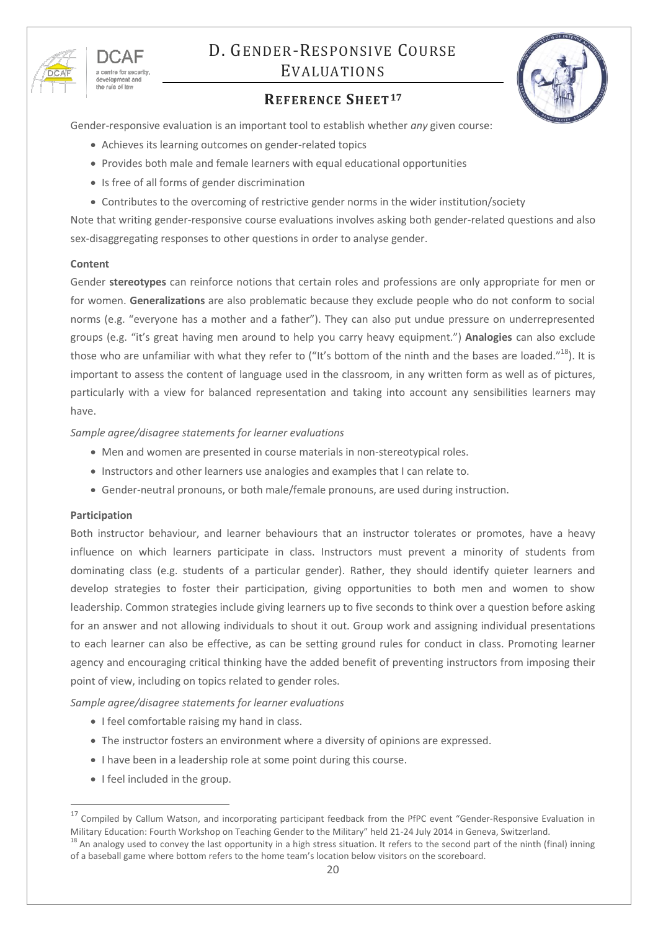<span id="page-19-1"></span>

the rule of law

# <span id="page-19-0"></span>D. GENDER-RESPONSIVE COURSE EVALUATIONS

## **REFERENCE SHEET<sup>17</sup>**

Gender-responsive evaluation is an important tool to establish whether *any* given course:

- Achieves its learning outcomes on gender-related topics
- Provides both male and female learners with equal educational opportunities
- Is free of all forms of gender discrimination
- Contributes to the overcoming of restrictive gender norms in the wider institution/society

Note that writing gender-responsive course evaluations involves asking both gender-related questions and also sex-disaggregating responses to other questions in order to analyse gender.

#### **Content**

Gender **stereotypes** can reinforce notions that certain roles and professions are only appropriate for men or for women. **Generalizations** are also problematic because they exclude people who do not conform to social norms (e.g. "everyone has a mother and a father"). They can also put undue pressure on underrepresented groups (e.g. "it's great having men around to help you carry heavy equipment.") **Analogies** can also exclude those who are unfamiliar with what they refer to ("It's bottom of the ninth and the bases are loaded."<sup>18</sup>). It is important to assess the content of language used in the classroom, in any written form as well as of pictures, particularly with a view for balanced representation and taking into account any sensibilities learners may have.

### *Sample agree/disagree statements for learner evaluations*

- Men and women are presented in course materials in non-stereotypical roles.
- Instructors and other learners use analogies and examples that I can relate to.
- Gender-neutral pronouns, or both male/female pronouns, are used during instruction.

### **Participation**

 $\overline{a}$ 

Both instructor behaviour, and learner behaviours that an instructor tolerates or promotes, have a heavy influence on which learners participate in class. Instructors must prevent a minority of students from dominating class (e.g. students of a particular gender). Rather, they should identify quieter learners and develop strategies to foster their participation, giving opportunities to both men and women to show leadership. Common strategies include giving learners up to five seconds to think over a question before asking for an answer and not allowing individuals to shout it out. Group work and assigning individual presentations to each learner can also be effective, as can be setting ground rules for conduct in class. Promoting learner agency and encouraging critical thinking have the added benefit of preventing instructors from imposing their point of view, including on topics related to gender roles.

*Sample agree/disagree statements for learner evaluations*

- I feel comfortable raising my hand in class.
- The instructor fosters an environment where a diversity of opinions are expressed.
- I have been in a leadership role at some point during this course.
- I feel included in the group.

<sup>&</sup>lt;sup>17</sup> Compiled by Callum Watson, and incorporating participant feedback from the PfPC event "Gender-Responsive Evaluation in Military Education: Fourth Workshop on Teaching Gender to the Military" held 21-24 July 2014 in Geneva, Switzerland.

 $18$  An analogy used to convey the last opportunity in a high stress situation. It refers to the second part of the ninth (final) inning of a baseball game where bottom refers to the home team's location below visitors on the scoreboard.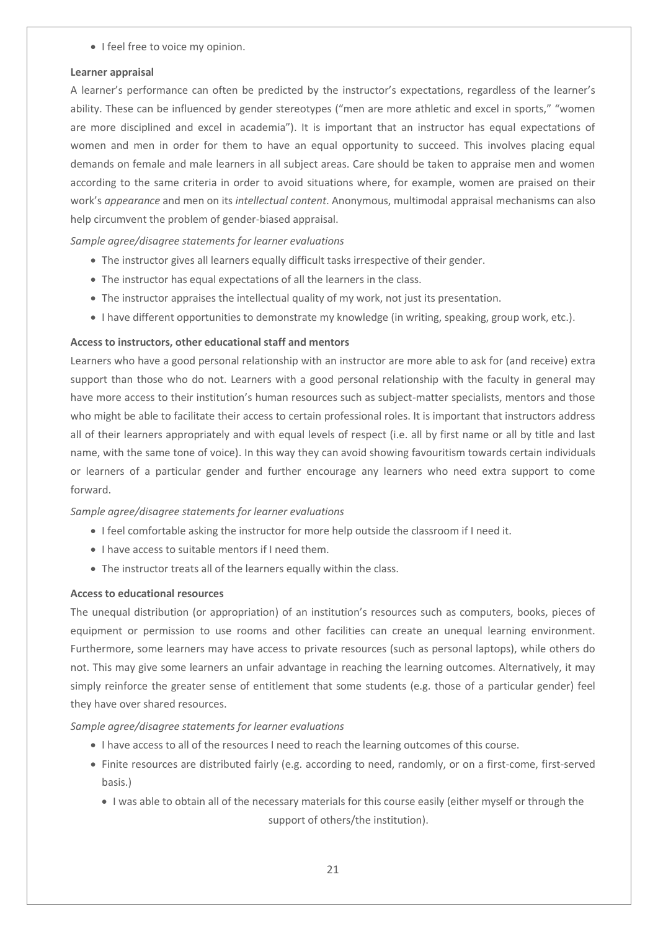• I feel free to voice my opinion.

#### **Learner appraisal**

A learner's performance can often be predicted by the instructor's expectations, regardless of the learner's ability. These can be influenced by gender stereotypes ("men are more athletic and excel in sports," "women are more disciplined and excel in academia"). It is important that an instructor has equal expectations of women and men in order for them to have an equal opportunity to succeed. This involves placing equal demands on female and male learners in all subject areas. Care should be taken to appraise men and women according to the same criteria in order to avoid situations where, for example, women are praised on their work's *appearance* and men on its *intellectual content*. Anonymous, multimodal appraisal mechanisms can also help circumvent the problem of gender-biased appraisal.

*Sample agree/disagree statements for learner evaluations*

- The instructor gives all learners equally difficult tasks irrespective of their gender.
- The instructor has equal expectations of all the learners in the class.
- The instructor appraises the intellectual quality of my work, not just its presentation.
- I have different opportunities to demonstrate my knowledge (in writing, speaking, group work, etc.).

### **Access to instructors, other educational staff and mentors**

Learners who have a good personal relationship with an instructor are more able to ask for (and receive) extra support than those who do not. Learners with a good personal relationship with the faculty in general may have more access to their institution's human resources such as subject-matter specialists, mentors and those who might be able to facilitate their access to certain professional roles. It is important that instructors address all of their learners appropriately and with equal levels of respect (i.e. all by first name or all by title and last name, with the same tone of voice). In this way they can avoid showing favouritism towards certain individuals or learners of a particular gender and further encourage any learners who need extra support to come forward.

### *Sample agree/disagree statements for learner evaluations*

- I feel comfortable asking the instructor for more help outside the classroom if I need it.
- I have access to suitable mentors if I need them.
- The instructor treats all of the learners equally within the class.

### **Access to educational resources**

The unequal distribution (or appropriation) of an institution's resources such as computers, books, pieces of equipment or permission to use rooms and other facilities can create an unequal learning environment. Furthermore, some learners may have access to private resources (such as personal laptops), while others do not. This may give some learners an unfair advantage in reaching the learning outcomes. Alternatively, it may simply reinforce the greater sense of entitlement that some students (e.g. those of a particular gender) feel they have over shared resources.

### *Sample agree/disagree statements for learner evaluations*

- I have access to all of the resources I need to reach the learning outcomes of this course.
- Finite resources are distributed fairly (e.g. according to need, randomly, or on a first-come, first-served basis.)
	- I was able to obtain all of the necessary materials for this course easily (either myself or through the support of others/the institution).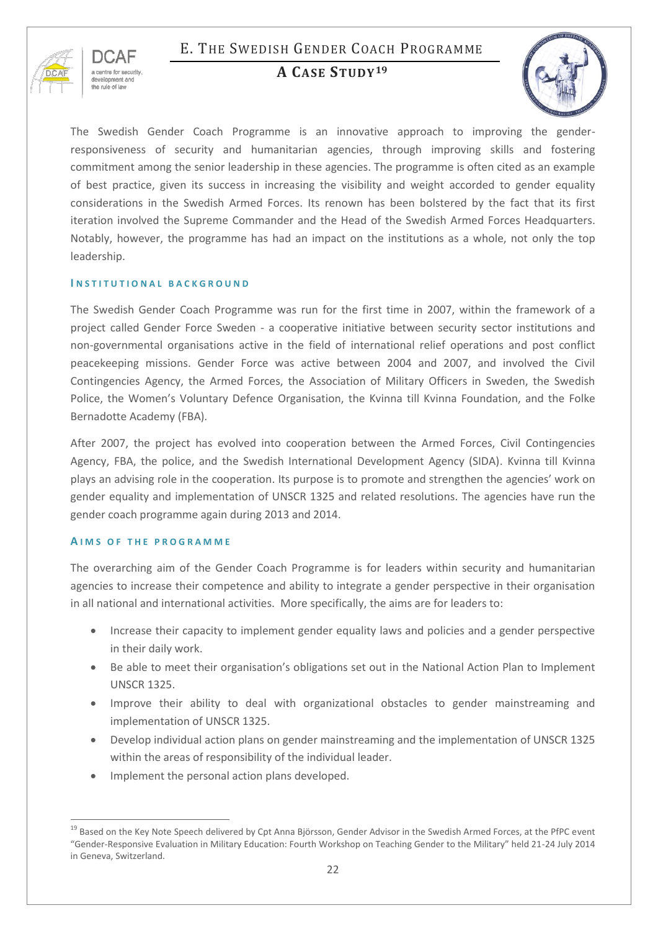# <span id="page-21-0"></span>E. THE SWEDISH GENDER COACH PROGRAMME

<span id="page-21-1"></span>

## **A CASE STUDY<sup>19</sup>**



The Swedish Gender Coach Programme is an innovative approach to improving the genderresponsiveness of security and humanitarian agencies, through improving skills and fostering commitment among the senior leadership in these agencies. The programme is often cited as an example of best practice, given its success in increasing the visibility and weight accorded to gender equality considerations in the Swedish Armed Forces. Its renown has been bolstered by the fact that its first iteration involved the Supreme Commander and the Head of the Swedish Armed Forces Headquarters. Notably, however, the programme has had an impact on the institutions as a whole, not only the top leadership.

### **I N S T I T U T I O N A L B A C K G R O U N D**

The Swedish Gender Coach Programme was run for the first time in 2007, within the framework of a project called Gender Force Sweden - a cooperative initiative between security sector institutions and non-governmental organisations active in the field of international relief operations and post conflict peacekeeping missions. Gender Force was active between 2004 and 2007, and involved the Civil Contingencies Agency, the Armed Forces, the Association of Military Officers in Sweden, the Swedish Police, the Women's Voluntary Defence Organisation, the Kvinna till Kvinna Foundation, and the Folke Bernadotte Academy (FBA).

After 2007, the project has evolved into cooperation between the Armed Forces, Civil Contingencies Agency, FBA, the police, and the Swedish International Development Agency (SIDA). Kvinna till Kvinna plays an advising role in the cooperation. Its purpose is to promote and strengthen the agencies' work on gender equality and implementation of UNSCR 1325 and related resolutions. The agencies have run the gender coach programme again during 2013 and 2014.

### **A I M S O F T H E P R O G R A M M E**

The overarching aim of the Gender Coach Programme is for leaders within security and humanitarian agencies to increase their competence and ability to integrate a gender perspective in their organisation in all national and international activities. More specifically, the aims are for leaders to:

- Increase their capacity to implement gender equality laws and policies and a gender perspective in their daily work.
- Be able to meet their organisation's obligations set out in the National Action Plan to Implement UNSCR 1325.
- Improve their ability to deal with organizational obstacles to gender mainstreaming and implementation of UNSCR 1325.
- Develop individual action plans on gender mainstreaming and the implementation of UNSCR 1325 within the areas of responsibility of the individual leader.
- Implement the personal action plans developed.

 $\overline{a}$ <sup>19</sup> Based on the Key Note Speech delivered by Cpt Anna Björsson, Gender Advisor in the Swedish Armed Forces, at the PfPC event "Gender-Responsive Evaluation in Military Education: Fourth Workshop on Teaching Gender to the Military" held 21-24 July 2014 in Geneva, Switzerland.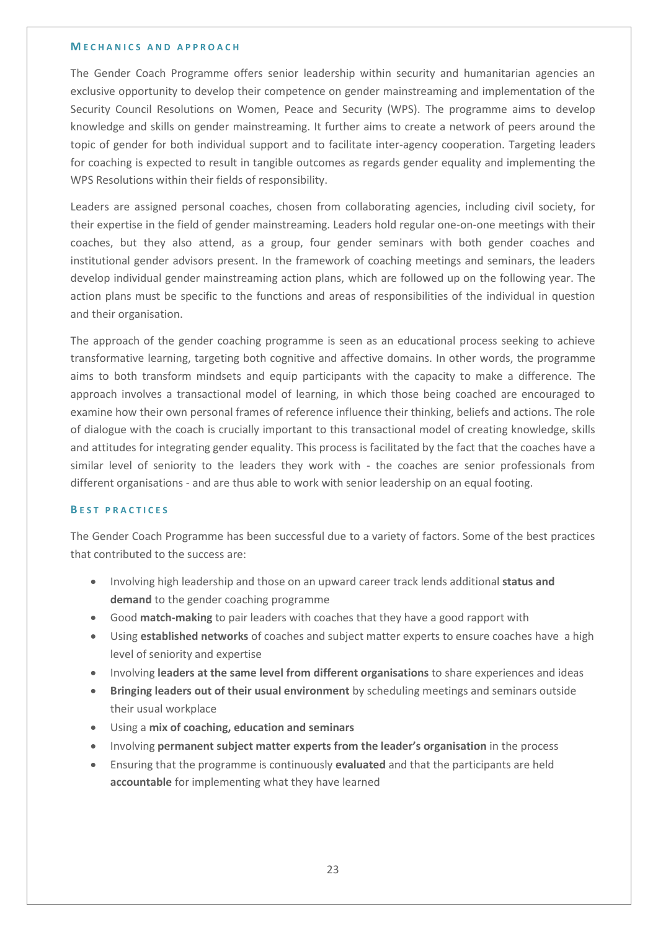#### **M E C H A N I C S A N D A P P R O A C H**

The Gender Coach Programme offers senior leadership within security and humanitarian agencies an exclusive opportunity to develop their competence on gender mainstreaming and implementation of the Security Council Resolutions on Women, Peace and Security (WPS). The programme aims to develop knowledge and skills on gender mainstreaming. It further aims to create a network of peers around the topic of gender for both individual support and to facilitate inter-agency cooperation. Targeting leaders for coaching is expected to result in tangible outcomes as regards gender equality and implementing the WPS Resolutions within their fields of responsibility.

Leaders are assigned personal coaches, chosen from collaborating agencies, including civil society, for their expertise in the field of gender mainstreaming. Leaders hold regular one-on-one meetings with their coaches, but they also attend, as a group, four gender seminars with both gender coaches and institutional gender advisors present. In the framework of coaching meetings and seminars, the leaders develop individual gender mainstreaming action plans, which are followed up on the following year. The action plans must be specific to the functions and areas of responsibilities of the individual in question and their organisation.

The approach of the gender coaching programme is seen as an educational process seeking to achieve transformative learning, targeting both cognitive and affective domains. In other words, the programme aims to both transform mindsets and equip participants with the capacity to make a difference. The approach involves a transactional model of learning, in which those being coached are encouraged to examine how their own personal frames of reference influence their thinking, beliefs and actions. The role of dialogue with the coach is crucially important to this transactional model of creating knowledge, skills and attitudes for integrating gender equality. This process is facilitated by the fact that the coaches have a similar level of seniority to the leaders they work with - the coaches are senior professionals from different organisations - and are thus able to work with senior leadership on an equal footing.

#### **B E S T P R A C T I C E S**

The Gender Coach Programme has been successful due to a variety of factors. Some of the best practices that contributed to the success are:

- Involving high leadership and those on an upward career track lends additional **status and demand** to the gender coaching programme
- Good **match-making** to pair leaders with coaches that they have a good rapport with
- Using **established networks** of coaches and subject matter experts to ensure coaches have a high level of seniority and expertise
- Involving **leaders at the same level from different organisations** to share experiences and ideas
- **Bringing leaders out of their usual environment** by scheduling meetings and seminars outside their usual workplace
- Using a **mix of coaching, education and seminars**
- Involving **permanent subject matter experts from the leader's organisation** in the process
- Ensuring that the programme is continuously **evaluated** and that the participants are held **accountable** for implementing what they have learned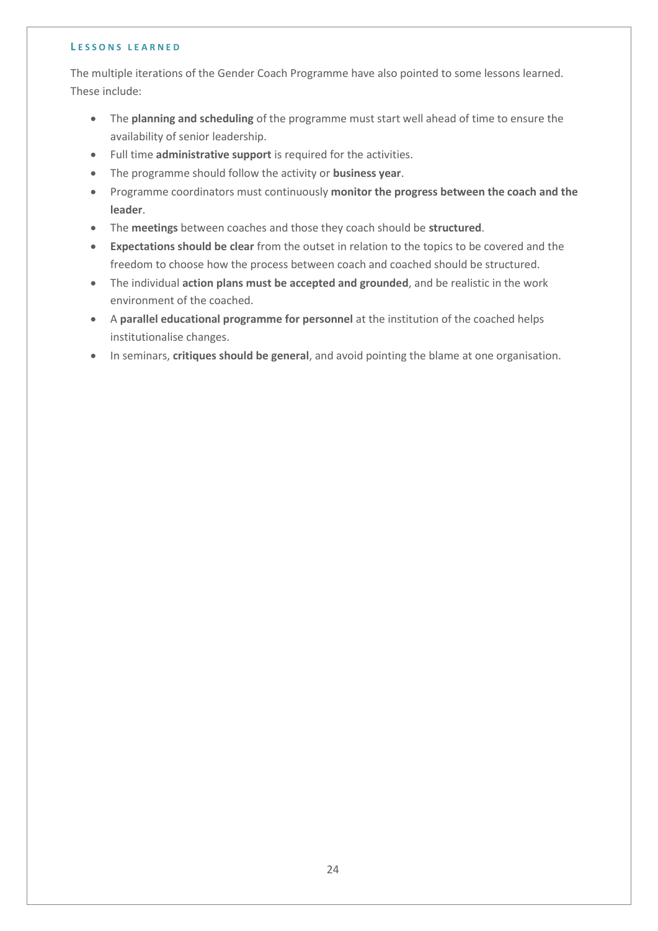#### **L E S S O N S L E A R N E D**

The multiple iterations of the Gender Coach Programme have also pointed to some lessons learned. These include:

- The **planning and scheduling** of the programme must start well ahead of time to ensure the availability of senior leadership.
- Full time **administrative support** is required for the activities.
- The programme should follow the activity or **business year**.
- Programme coordinators must continuously **monitor the progress between the coach and the leader**.
- The **meetings** between coaches and those they coach should be **structured**.
- **Expectations should be clear** from the outset in relation to the topics to be covered and the freedom to choose how the process between coach and coached should be structured.
- The individual **action plans must be accepted and grounded**, and be realistic in the work environment of the coached.
- A **parallel educational programme for personnel** at the institution of the coached helps institutionalise changes.
- In seminars, **critiques should be general**, and avoid pointing the blame at one organisation.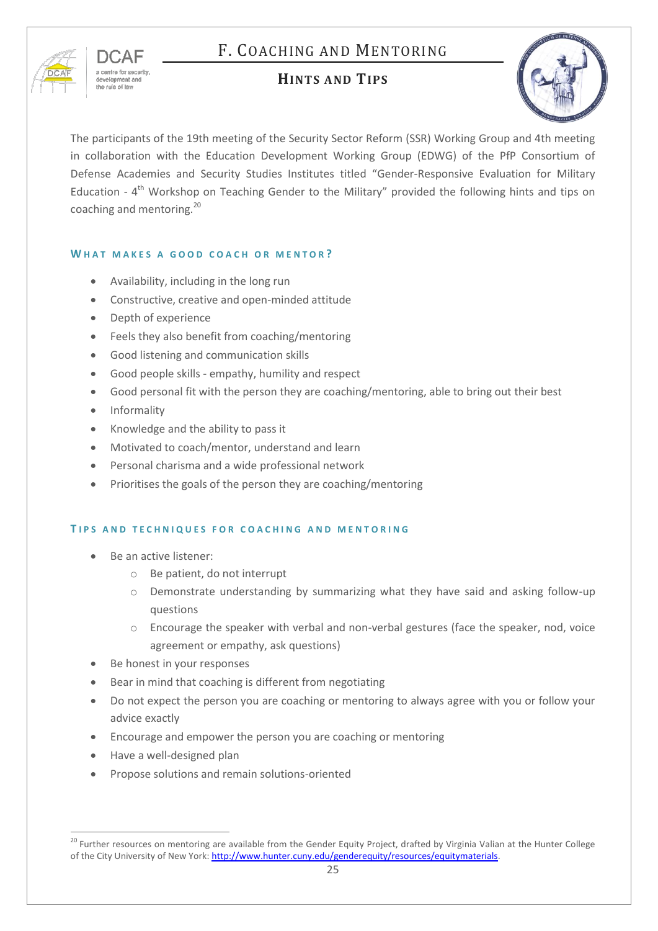# <span id="page-24-0"></span>F. COACHING AND MENTORING

<span id="page-24-1"></span>

## **HINTS AND TIPS**

| <b>SOUTH OF DEFAIL AND INCOME.</b><br>Ş                   |  |
|-----------------------------------------------------------|--|
| <b>DOUTING</b><br><b>CARL AND DISTORT</b><br>HROUG<br>AC1 |  |

The participants of the 19th meeting of the Security Sector Reform (SSR) Working Group and 4th meeting in collaboration with the Education Development Working Group (EDWG) of the PfP Consortium of Defense Academies and Security Studies Institutes titled "Gender-Responsive Evaluation for Military Education - 4<sup>th</sup> Workshop on Teaching Gender to the Military" provided the following hints and tips on coaching and mentoring.<sup>20</sup>

### WHAT MAKES A GOOD COACH OR MENTOR?

- Availability, including in the long run
- Constructive, creative and open-minded attitude
- Depth of experience
- Feels they also benefit from coaching/mentoring
- Good listening and communication skills
- Good people skills empathy, humility and respect
- Good personal fit with the person they are coaching/mentoring, able to bring out their best
- Informality
- Knowledge and the ability to pass it
- Motivated to coach/mentor, understand and learn
- Personal charisma and a wide professional network
- Prioritises the goals of the person they are coaching/mentoring

### **T I P S A N D T E C H N I Q U E S F O R C O A C H I N G A N D M E N T O R I N G**

- Be an active listener:
	- o Be patient, do not interrupt
	- o Demonstrate understanding by summarizing what they have said and asking follow-up questions
	- o Encourage the speaker with verbal and non-verbal gestures (face the speaker, nod, voice agreement or empathy, ask questions)
- Be honest in your responses
- Bear in mind that coaching is different from negotiating
- Do not expect the person you are coaching or mentoring to always agree with you or follow your advice exactly
- Encourage and empower the person you are coaching or mentoring
- Have a well-designed plan

<span id="page-24-2"></span> $\overline{a}$ 

Propose solutions and remain solutions-oriented

<sup>&</sup>lt;sup>20</sup> Further resources on mentoring are available from the Gender Equity Project, drafted by Virginia Valian at the Hunter College of the City University of New York[: http://www.hunter.cuny.edu/genderequity/resources/equitymaterials.](http://www.hunter.cuny.edu/genderequity/resources/equitymaterials)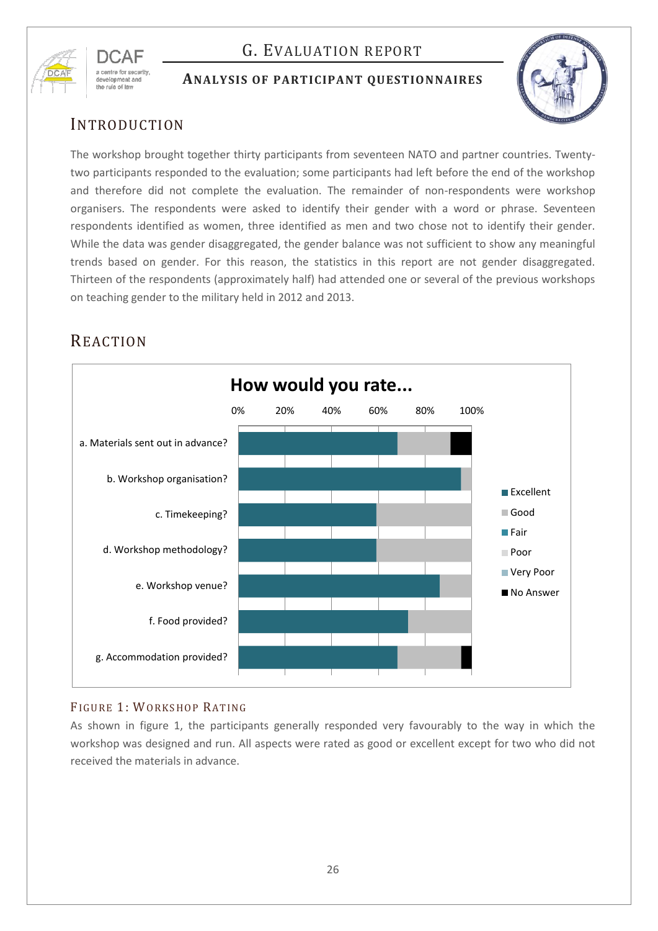

# G. EVALUATION REPORT

### <span id="page-25-0"></span>**ANALYSIS OF PARTICIPANT QUESTIONNAIRES**



## INTRODUCTION

The workshop brought together thirty participants from seventeen NATO and partner countries. Twentytwo participants responded to the evaluation; some participants had left before the end of the workshop and therefore did not complete the evaluation. The remainder of non-respondents were workshop organisers. The respondents were asked to identify their gender with a word or phrase. Seventeen respondents identified as women, three identified as men and two chose not to identify their gender. While the data was gender disaggregated, the gender balance was not sufficient to show any meaningful trends based on gender. For this reason, the statistics in this report are not gender disaggregated. Thirteen of the respondents (approximately half) had attended one or several of the previous workshops on teaching gender to the military held in 2012 and 2013.



# REACTION

## FIGURE 1: WORKSHOP RATING

As shown in figure 1, the participants generally responded very favourably to the way in which the workshop was designed and run. All aspects were rated as good or excellent except for two who did not received the materials in advance.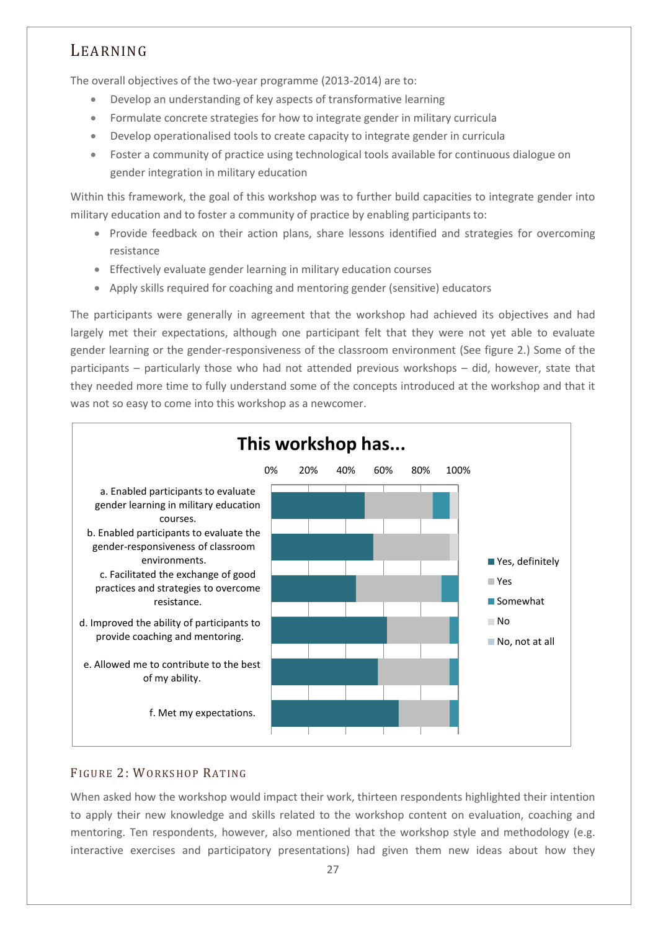## LEARNING

The overall objectives of the two-year programme (2013-2014) are to:

- Develop an understanding of key aspects of transformative learning
- Formulate concrete strategies for how to integrate gender in military curricula
- Develop operationalised tools to create capacity to integrate gender in curricula
- Foster a community of practice using technological tools available for continuous dialogue on gender integration in military education

Within this framework, the goal of this workshop was to further build capacities to integrate gender into military education and to foster a community of practice by enabling participants to:

- Provide feedback on their action plans, share lessons identified and strategies for overcoming resistance
- Effectively evaluate gender learning in military education courses
- Apply skills required for coaching and mentoring gender (sensitive) educators

The participants were generally in agreement that the workshop had achieved its objectives and had largely met their expectations, although one participant felt that they were not yet able to evaluate gender learning or the gender-responsiveness of the classroom environment (See figure 2.) Some of the participants – particularly those who had not attended previous workshops – did, however, state that they needed more time to fully understand some of the concepts introduced at the workshop and that it was not so easy to come into this workshop as a newcomer.



## FIGURE 2: WORKSHOP RATING

When asked how the workshop would impact their work, thirteen respondents highlighted their intention to apply their new knowledge and skills related to the workshop content on evaluation, coaching and mentoring. Ten respondents, however, also mentioned that the workshop style and methodology (e.g. interactive exercises and participatory presentations) had given them new ideas about how they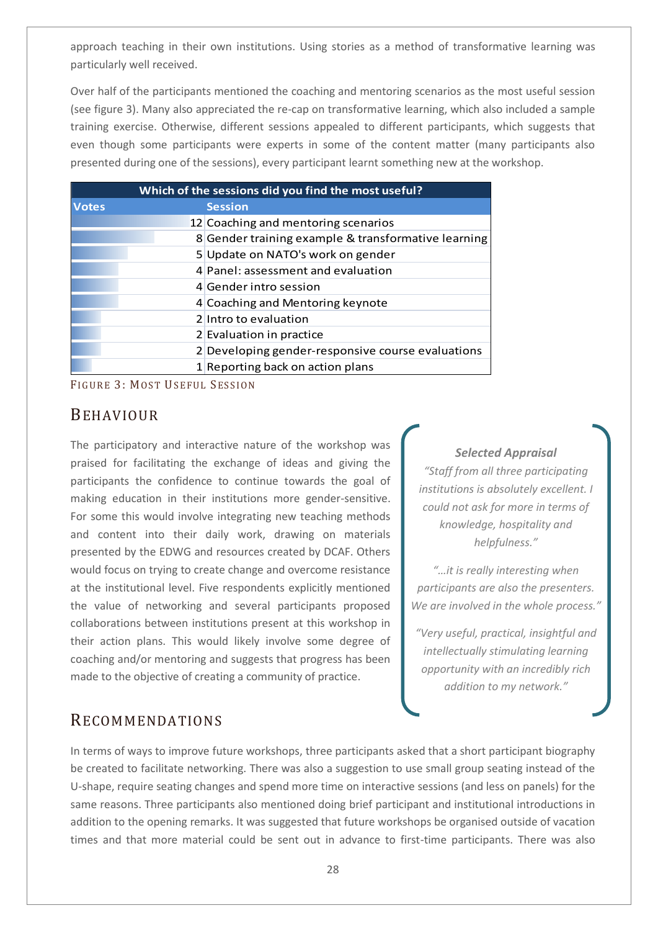approach teaching in their own institutions. Using stories as a method of transformative learning was particularly well received.

Over half of the participants mentioned the coaching and mentoring scenarios as the most useful session (see figure 3). Many also appreciated the re-cap on transformative learning, which also included a sample training exercise. Otherwise, different sessions appealed to different participants, which suggests that even though some participants were experts in some of the content matter (many participants also presented during one of the sessions), every participant learnt something new at the workshop.

| Which of the sessions did you find the most useful? |                |                                                     |
|-----------------------------------------------------|----------------|-----------------------------------------------------|
| <b>Votes</b>                                        | <b>Session</b> |                                                     |
|                                                     |                | 12 Coaching and mentoring scenarios                 |
|                                                     |                | 8 Gender training example & transformative learning |
|                                                     |                | 5 Update on NATO's work on gender                   |
|                                                     |                | 4 Panel: assessment and evaluation                  |
|                                                     |                | 4 Gender intro session                              |
|                                                     |                | 4 Coaching and Mentoring keynote                    |
|                                                     |                | 2 Intro to evaluation                               |
|                                                     |                | 2 Evaluation in practice                            |
|                                                     |                | 2 Developing gender-responsive course evaluations   |
|                                                     |                | 1 Reporting back on action plans                    |

FIGURE 3: MOST USEFUL SESSION

## BEHAVIOUR

The participatory and interactive nature of the workshop was praised for facilitating the exchange of ideas and giving the participants the confidence to continue towards the goal of making education in their institutions more gender-sensitive. For some this would involve integrating new teaching methods and content into their daily work, drawing on materials presented by the EDWG and resources created by DCAF. Others would focus on trying to create change and overcome resistance at the institutional level. Five respondents explicitly mentioned the value of networking and several participants proposed collaborations between institutions present at this workshop in their action plans. This would likely involve some degree of coaching and/or mentoring and suggests that progress has been made to the objective of creating a community of practice.

### *Selected Appraisal*

*"Staff from all three participating institutions is absolutely excellent. I could not ask for more in terms of knowledge, hospitality and helpfulness."*

*"…it is really interesting when participants are also the presenters. We are involved in the whole process."*

*"Very useful, practical, insightful and intellectually stimulating learning opportunity with an incredibly rich addition to my network."*

## RECOMMENDATIONS

In terms of ways to improve future workshops, three participants asked that a short participant biography be created to facilitate networking. There was also a suggestion to use small group seating instead of the U-shape, require seating changes and spend more time on interactive sessions (and less on panels) for the same reasons. Three participants also mentioned doing brief participant and institutional introductions in addition to the opening remarks. It was suggested that future workshops be organised outside of vacation times and that more material could be sent out in advance to first-time participants. There was also